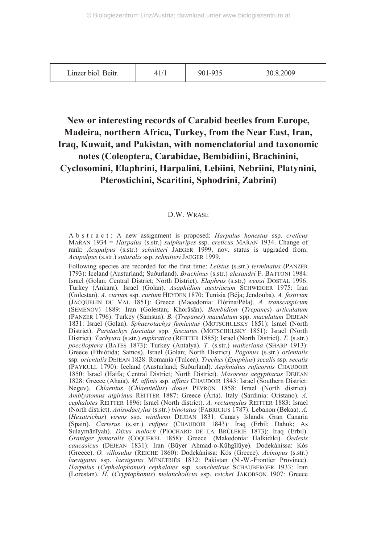| Linzer biol. Beitr. | 41/7 | 901-935 | 30.8.2009 |
|---------------------|------|---------|-----------|
|---------------------|------|---------|-----------|

## **New or interesting records of Carabid beetles from Europe, Madeira, northern Africa, Turkey, from the Near East, Iran, Iraq, Kuwait, and Pakistan, with nomenclatorial and taxonomic notes (Coleoptera, Carabidae, Bembidiini, Brachinini, Cyclosomini, Elaphrini, Harpalini, Lebiini, Nebriini, Platynini, Pterostichini, Scaritini, Sphodrini, Zabrini)**

## D.W. WRASE

A b s t r a c t : A new assignment is proposed: *Harpalus honestus* ssp. *creticus* MAŘAN 1934 = *Harpalus* (s.str.) *sulphuripes* ssp. *creticus* MAŘAN 1934. Change of rank: *Acupalpus* (s.str.) *schnitteri* JAEGER 1999, nov. status is upgraded from: *Acupalpus* (s.str.) *suturalis* ssp. *schnitteri* JAEGER 1999.

Following species are recorded for the first time: *Leistus* (s.str.) *terminatus* (PANZER 1793): Iceland (Austurland; Suðurland). *Brachinus* (s.str.) *alexandri* F. BATTONI 1984: Israel (Golan; Central District; North District). *Elaphrus* (s.str.) *weissi* DOSTAL 1996: Turkey (Ankara). Israel (Golan). *Asaphidion austriacum* SCHWEIGER 1975: Iran (Golestan). *A. curtum* ssp. *curtum* HEYDEN 1870: Tunisia (Béja; Jendouba). *A. festivum* (JACQUELIN DU VAL 1851): Greece (Macedonía: Flórina/Péla). *A. transcaspicum* (SEMENOV) 1889: Iran (Golestan; Khorāsān). *Bembidion* (*Trepanes*) *articulatum* (PANZER 1796): Turkey (Samsun). *B.* (*Trepanes*) *maculatum* spp. *maculatum* DEJEAN 1831: Israel (Golan). *Sphaerotachys fumicatus* (MOTSCHULSKY 1851): Israel (North District). *Paratachys fasciatus* spp. *fasciatus* (MOTSCHULSKY 1851): Israel (North District). *Tachyura* (s.str.) *euphratica* (REITTER 1885): Israel (North District). *T.* (s.str.) *poeciloptera* (BATES 1873): Turkey (Antalya). *T.* (s.str.) *walkeriana* (SHARP 1913): Greece (Fthiótida; Samos). Israel (Golan; North District). *Pogonus* (s.str.) *orientalis* ssp*. orientalis* DEJEAN 1828: Romania (Tulcea). *Trechus* (*Epaphius*) *secalis* ssp. *secalis* (PAYKULL 1790): Iceland (Austurland; Suðurland). *Aephnidius ruficornis* CHAUDOIR 1850: Israel (Haifa; Central District; North District). *Masoreus aegyptiacus* DEJEAN 1828: Greece (Ahaïa). *M. affinis* ssp. *affinis* CHAUDOIR 1843: Israel (Southern District: Negev). *Chlaenius* (*Chlaeniellus*) *douei* PEYRON 1858: Israel (North district). *Amblystomus algirinus* REITTER 1887: Greece (Árta). Italy (Sardinia: Oristano). *A. cephalotes* REITTER 1896: Israel (North district). *A. rectangulus* REITTER 1883: Israel (North district). *Anisodactylus* (s.str.) *binotatus* (FABRICIUS 1787): Lebanon (Bekaa). *A.* (*Hexatrichus*) *virens* ssp. *winthemi* DEJEAN 1831: Canary Islands: Gran Canaria (Spain). *Carterus* (s.str.) *rufipes* (CHAUDOIR 1843): Iraq (Erbil; Dahuk; As Sulaymānīyah). *Dixus moloch* (PIOCHARD DE LA BRÛLERIE 1873): Iraq (Erbil). *Graniger femoralis* (COQUEREL 1858): Greece (Makedonía: Halkidiki). *Oedesis caucasicus* (DEJEAN 1831): Iran (Būyer Ahmad-o-Kūhgīlūye). Dodekánissa: Kós (Greece). *O. villosulus* (REICHE 1860): Dodekánissa: Kós (Greece). *Acinopus* (s.str.) *laevigatus* ssp. *laevigatus* MÉNÉTRIÉS 1832: Pakistan (N.-W.-Frontier Province). *Harpalus* (*Cephalophonus*) *cephalotes* ssp. *somcheticus* SCHAUBERGER 1933: Iran (Lorestan). *H.* (*Cryptophonus*) *melancholicus* ssp. *reichei* JAKOBSON 1907: Greece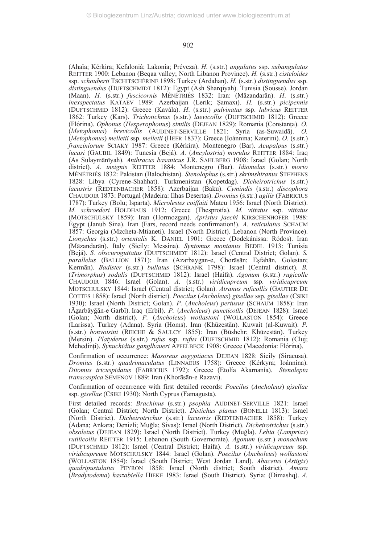(Ahaïa; Kérkira; Kefaloniá; Lakonía; Préveza). *H.* (s.str.) *angulatus* ssp. *subangulatus* REITTER 1900: Lebanon (Beqaa valley; North Libanon Province). *H.* (s.str.) *cisteloides* ssp. *schouberti* TSCHITSCHÉRINE 1898: Turkey (Ardahan). *H.* (s.str.) *distinguendus* ssp. *distinguendus* (DUFTSCHMIDT 1812): Egypt (Ash Sharqiyah). Tunisia (Sousse). Jordan (Maan). *H.* (s.str.) *fuscicornis* MÉNÉTRIÉS 1832: Iran: (Māzandarān). *H*. (s.str.) *inexspectatus* KATAEV 1989: Azerbaijan (Lerik; Şamaxı). *H.* (s.str.) *picipennis* (DUFTSCHMID 1812): Greece (Kavála). *H*. (s.str.) *pulvinatus* ssp. *lubricus* REITTER 1862: Turkey (Kars). *Trichotichnus* (s.str.) *laevicollis* (DUFTSCHMID 1812): Greece (Flórina). *Ophonus* (*Hesperophonus*) *similis* (DEJEAN 1829): Romania (Constanţa). *O.* (*Metophonus*) *brevicollis* (AUDINET-SERVILLE 1821: Syria (as-Suwaidā). *O.* (*Metophonus*) *melletii* ssp. *melletii* (HEER 1837): Greece (Ioánnina; Katerini). *O.* (s.str.) *franziniorum* SCIAKY 1987: Greece (Kérkira). Montenegro (Bar). *Acupalpus* (s.str.) *lucasi* (GAUBIL 1849): Tunesia (Bejá). *A.* (*Ancylostria*) *morulus* REITTER 1884: Iraq (As Sulaymānīyah). *Anthracus basanicus* J.R. SAHLBERG 1908: Israel (Golan; North district). *A. insignis* REITTER 1884: Montenegro (Bar). *Idiomelas* (s.str*.*) *morio* MÉNÉTRIÉS 1832: Pakistan (Balochistan). *Stenolophus* (s.str.) *skrimshiranus* STEPHENS 1828: Libya (Cyrene-Shahhat). Turkmenistan (Kopetdag). *Dicheirotrichus* (s.str*.*) *lacustris* (REDTENBACHER 1858): Azerbaijan (Baku). *Cymindis* (s.str.) *discophora* CHAUDOIR 1873: Portugal (Madeira: Ilhas Desertas). *Dromius* (s.str.) *agilis* (FABRICIUS 1787): Turkey (Bolu; Isparta). *Microlestes coiffaiti* Mateu 1956: Israel (North District). *M. schroederi* HOLDHAUS 1912: Greece (Thesprotía). *M. vittatus* ssp. *vittatus* (MOTSCHULSKY 1859): Iran (Hormozgan). *Apristus jaechi* KIRSCHENHOFER 1988: Egypt (Janub Sina). Iran (Fars, record needs confirmation!). *A. reticulatus* SCHAUM 1857: Georgia (Mzcheta-Mtianeti). Israel (North District). Lebanon (North Province). *Lionychus* (s.str.) *orientalis* K. DANIEL 1901: Greece (Dodekánissa: Ródos). Iran (Māzandarān). Italy (Sicily: Messina). *Syntomus montanus* BEDEL 1913: Tunisia (Bejá). *S. obscuroguttatus* (DUFTSCHMIDT 1812): Israel (Central District; Golan). *S. parallelus* (BALLION 1871): Iran (Azarbaygan-e, Chorāsān; Eşfahān, Golestan; Kermān). *Badister* (s.str.) *bullatus* (SCHRANK 1798): Israel (Central district). *B.* (*Trimorphus*) *sodalis* (DUFTSCHMID 1812): Israel (Haifa). *Agonum* (s.str.) *rugicolle* CHAUDOIR 1846: Israel (Golan). *A.* (s.str.) *viridicupreum* ssp. *viridicupreum* MOTSCHULSKY 1844: Israel (Central district; Golan). *Atranus ruficollis* (GAUTIER DE COTTES 1858): Israel (North district). *Poecilus* (*Ancholeus*) *gisellae* ssp. *gisellae* (CSIKI 1930): Israel (North District; Golan). *P.* (*Ancholeus*) *pertusus* (SCHAUM 1858): Iran (Āáarbāyğān-e Garbī). Iraq (Erbil). *P.* (*Ancholeus*) *puncticollis* (DEJEAN 1828): Israel (Golan; North district). *P.* (*Ancholeus*) *wollastoni* (WOLLASTON 1854): Greece (Larissa). Turkey (Adana). Syria (Homs). Iran (Khūzestān). Kuwait (al-Kuwait). *P.* (s.str.) *bonvoisini* (REICHE & SAULCY 1855): Iran (Būshehr; Khūzestān). Turkey (Mersin). *Platyderus* (s.str.) *rufus* ssp. *rufus* (DUFTSCHMID 1812): Romania (Cluj; Mehedinţi). *Synuchidius ganglbaueri* APFELBECK 1908: Greece (Macedonía: Flórina).

Confirmation of occurrence: *Masoreus aegyptiacus* DEJEAN 1828: Sicily (Siracusa). *Dromius* (s.str.) *quadrimaculatus* (LINNAEUS 1758): Greece (Kérkyra; Ioánnina). *Ditomus tricuspidatus* (FABRICIUS 1792): Greece (Etolía Akarnanía). *Stenolepta transcaspica* SEMENOV 1889: Iran (Khorāsān-e Razavi).

Confirmation of occurrence with first detailed records: *Poecilus* (*Ancholeus*) *gisellae* ssp. *gisellae* (CSIKI 1930): North Cyprus (Famagusta).

First detailed records: *Brachinus* (s.str.) *psophia* AUDINET-SERVILLE 1821: Israel (Golan; Central District; North District). *Distichus planus* (BONELLI 1813): Israel (North District). *Dicheirotrichus* (s.str*.*) *lacustris* (REDTENBACHER 1858): Turkey (Adana; Ankara; Denizli; Muğla; Sivas): Israel (North District). *Dicheirotrichus* (s.str*.*) *obsoletus* (DEJEAN 1829): Israel (North District). Turkey (Muğla). *Lebia* (*Lamprias*) *rutilicollis* REITTER 1915: Lebanon (South Governorate). *Agonum* (s.str.) *monachum* (DUFTSCHMID 1812): Israel (Central District; Haifa). *A.* (s.str.) *viridicupreum* ssp. *viridicupreum* MOTSCHULSKY 1844: Israel (Golan). *Poecilus* (*Ancholeus*) *wollastoni* (WOLLASTON 1854): Israel (South District; West Jordan Land). *Abacetus* (*Astigis*) *quadripustulatus* PEYRON 1858: Israel (North district; South district). *Amara* (*Bradytodema*) *kaszabiella* HIEKE 1983: Israel (South District). Syria: (Dimashq). *A.*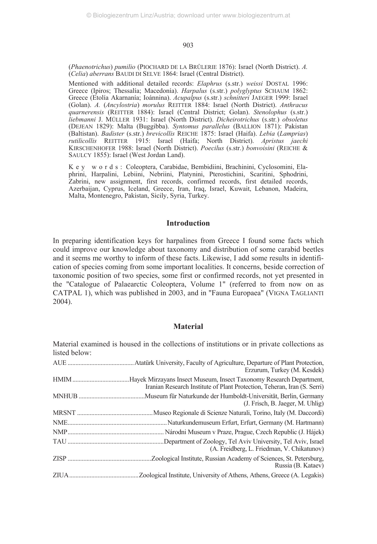(*Phaenotrichus*) *pumilio* (PIOCHARD DE LA BRÛLERIE 1876): Israel (North District). *A.* (*Celia*) *aberrans* BAUDI DI SELVE 1864: Israel (Central District).

Mentioned with additional detailed records: *Elaphrus* (s.str.) *weissi* DOSTAL 1996: Greece (Ipiros; Thessalía; Macedonía). *Harpalus* (s.str.) *polyglyptus* SCHAUM 1862: Greece (Etolía Akarnanía; Ioánnina). *Acupalpus* (s.str.) *schnitteri* JAEGER 1999: Israel (Golan). *A.* (*Ancylostria*) *morulus* REITTER 1884: Israel (North District). *Anthracus quarnerensis* (REITTER 1884): Israel (Central District; Golan). *Stenolophus* (s.str.) *liebmanni* J. MÜLLER 1931: Israel (North District). *Dicheirotrichus* (s.str*.*) *obsoletus* (DEJEAN 1829): Malta (Buggibba). *Syntomus parallelus* (BALLION 1871): Pakistan (Baltistan). *Badister* (s.str.) *brevicollis* REICHE 1875: Israel (Haifa). *Lebia* (*Lamprias*) *rutilicollis* REITTER 1915: Israel (Haifa; North District). *Apristus jaechi* KIRSCHENHOFER 1988: Israel (North District). *Poecilus* (s.str.) *bonvoisini* (REICHE & SAULCY 1855): Israel (West Jordan Land).

K e y w o r d s : Coleoptera, Carabidae, Bembidiini, Brachinini, Cyclosomini, Elaphrini, Harpalini, Lebiini, Nebriini, Platynini, Pterostichini, Scaritini, Sphodrini, Zabrini, new assignment, first records, confirmed records, first detailed records, Azerbaijan, Cyprus, Iceland, Greece, Iran, Iraq, Israel, Kuwait, Lebanon, Madeira, Malta, Montenegro, Pakistan, Sicily, Syria, Turkey.

## **Introduction**

In preparing identification keys for harpalines from Greece I found some facts which could improve our knowledge about taxonomy and distribution of some carabid beetles and it seems me worthy to inform of these facts. Likewise, I add some results in identification of species coming from some important localities. It concerns, beside correction of taxonomic position of two species, some first or confirmed records, not yet presented in the "Catalogue of Palaearctic Coleoptera, Volume 1" (referred to from now on as CATPAL 1), which was published in 2003, and in "Fauna Europaea" (VIGNA TAGLIANTI 2004).

## **Material**

Material examined is housed in the collections of institutions or in private collections as listed below: AUE ..........................................Atatürk University, Faculty of Agriculture, Departure of Plant Protection, Erzurum, Turkey (M. Kesdek) HMIM....................................Hayek Mirzayans Insect Museum, Insect Taxonomy Research Department, Iranian Research Institute of Plant Protection, Teheran, Iran (S. Serri) MNHUB ..........................................Museum für Naturkunde der Humboldt-Universität, Berlin, Germany (J. Frisch, B. Jaeger, M. Uhlig) MRSNT ................................................Museo Regionale di Scienze Naturali, Torino, Italy (M. Daccordi) NME...............................................................Naturkundemuseum Erfurt, Erfurt, Germany (M. Hartmann) NMP............................................................. Národni Museum v Praze, Prague, Czech Republic (J. Hájek) TAU .............................................................Department of Zoology, Tel Aviv University, Tel Aviv, Israel (A. Freidberg, L. Friedman, V. Chikatunov) ZISP .....................................................Zoological Institute, Russian Academy of Sciences, St. Petersburg, Russia (B. Kataev) ZIUA............................................Zoological Institute, University of Athens, Athens, Greece (A. Legakis)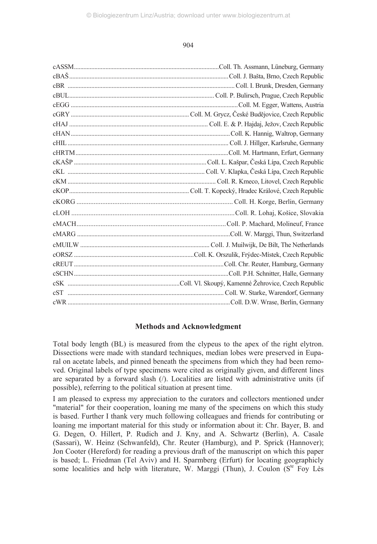## **Methods and Acknowledgment**

Total body length (BL) is measured from the clypeus to the apex of the right elytron. Dissections were made with standard techniques, median lobes were preserved in Euparal on acetate labels, and pinned beneath the specimens from which they had been removed. Original labels of type specimens were cited as originally given, and different lines are separated by a forward slash  $($ ). Localities are listed with administrative units (if possible), referring to the political situation at present time.

I am pleased to express my appreciation to the curators and collectors mentioned under "material" for their cooperation, loaning me many of the specimens on which this study is based. Further I thank very much following colleagues and friends for contributing or loaning me important material for this study or information about it: Chr. Bayer, B. and G. Degen, O. Hillert, P. Rudich and J. Kny, and A. Schwartz (Berlin), A. Casale (Sassari), W. Heinz (Schwanfeld), Chr. Reuter (Hamburg), and P. Sprick (Hannover); Jon Cooter (Hereford) for reading a previous draft of the manuscript on which this paper is based; L. Friedman (Tel Aviv) and H. Sparmberg (Erfurt) for locating geographicly some localities and help with literature, W. Marggi (Thun), J. Coulon  $(S^{te}$  Foy Lès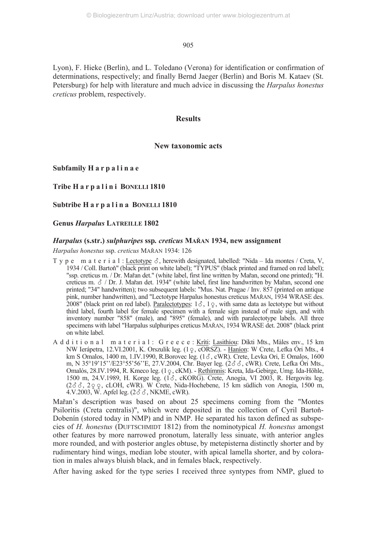Lyon), F. Hieke (Berlin), and L. Toledano (Verona) for identification or confirmation of determinations, respectively; and finally Bernd Jaeger (Berlin) and Boris M. Kataev (St. Petersburg) for help with literature and much advice in discussing the *Harpalus honestus creticus* problem, respectively.

## **Results**

## **New taxonomic acts**

**Subfamily H a r p a l i n a e**

**Tribe H a r p a l i n i BONELLI 1810**

**Subtribe H a r p a l i n a BONELLI 1810**

**Genus** *Harpalus* **LATREILLE 1802**

#### *Harpalus* **(s.str.)** *sulphuripes* **ssp***. creticus* **MAŘAN 1934, new assignment**

*Harpalus honestus* ssp. *creticus* MAŘAN 1934: 126

- Type material: Lectotype  $\delta$ , herewith designated, labelled: "Nida Ida montes / Creta, V, 1934 / Coll. Bartoň" (black print on white label); "TYPUS" (black printed and framed on red label); "ssp. creticus m. / Dr. Mařan det." (white label, first line written by Mařan, second one printed); "H. creticus m.  $\delta$  / Dr. J. Mařan det. 1934" (white label, first line handwritten by Mařan, second one printed; "34" handwritten); two subsequent labels: "Mus. Nat. Pragae / Inv. 857 (printed on antique pink, number handwritten), and "Lectotype Harpalus honestus creticus MAŘAN, 1934 WRASE des. 2008" (black print on red label). **Paralectotypes**:  $1\delta$ ,  $1\delta$ , with same data as lectotype but without third label, fourth label for female specimen with a female sign instead of male sign, and with inventory number "858" (male), and "895" (female), and with paralectotype labels. All three specimens with label "Harpalus sulphuripes creticus MAŘAN, 1934 WRASE det. 2008" (black print on white label.
- Additional material: G r e e c e : Kríti: Lasithíou: Díkti Mts., Màles env., 15 km NW Ierápetra, 12.VI.2001, K. Orszulik leg. (1 ç , cORSZ). - <u>Haníon</u>: W Crete, Lefka Óri Mts., 4 km S Omalos, 1400 m, 1.IV.1990, R.Borovec leg.  $(1\delta, \text{cWR})$ . Crete, Levka Ori, E Omalos, 1600 m, N 35°19'15''/E23°55'56''E, 27.V.2004, Chr. Bayer leg.  $(2 \, \delta \, \delta, \text{cWR})$ . Crete, Lefka Óri Mts., Omalós, 28.IV.1994, R. Kmeco leg. (1 o cKM). - Rethímnis: Kreta, Ida-Gebirge, Umg. Ida-Höhle, 1500 m, 24.V.1989, H. Korge leg.  $(1\delta, \text{cKORG})$ . Crete, Anogia, VI 2003, R. Hergovits leg. (233, 200, cLOH, cWR). W Crete, Nida-Hochebene, 15 km südlich von Anogia, 1500 m, 4.V.2003, W. Apfel leg.  $(2\delta \delta, NKME, cWR)$ .

Mařan's description was based on about 25 specimens coming from the "Montes Psiloritis (Creta centralis)", which were deposited in the collection of Cyril Bartoň-Dobenín (stored today in NMP) and in NMP. He separated his taxon defined as subspecies of *H. honestus* (DUFTSCHMIDT 1812) from the nominotypical *H. honestus* amongst other features by more narrowed pronotum, laterally less sinuate, with anterior angles more rounded, and with posterior angles obtuse, by metepisterna distinctly shorter and by rudimentary hind wings, median lobe stouter, with apical lamella shorter, and by coloration in males always bluish black, and in females black, respectively.

After having asked for the type series I received three syntypes from NMP, glued to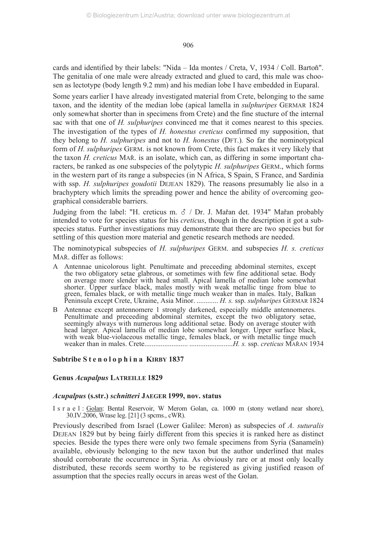cards and identified by their labels: "Nida – Ida montes / Creta, V, 1934 / Coll. Bartoň". The genitalia of one male were already extracted and glued to card, this male was choosen as lectotype (body length 9.2 mm) and his median lobe I have embedded in Euparal.

Some years earlier I have already investigated material from Crete, belonging to the same taxon, and the identity of the median lobe (apical lamella in *sulphuripes* GERMAR 1824 only somewhat shorter than in specimens from Crete) and the fine stucture of the internal sac with that one of *H. sulphuripes* convinced me that it comes nearest to this species. The investigation of the types of *H. honestus creticus* confirmed my supposition, that they belong to *H. sulphuripes* and not to *H. honestus* (DFT.)*.* So far the nominotypical form of *H. sulphuripes* GERM. is not known from Crete, this fact makes it very likely that the taxon *H. creticus* MAŘ. is an isolate, which can, as differing in some important characters, be ranked as one subspecies of the polytypic *H. sulphuripes* GERM., which forms in the western part of its range a subspecies (in N Africa, S Spain, S France, and Sardinia with ssp. *H. sulphuripes goudotii* DEJEAN 1829). The reasons presumably lie also in a brachyptery which limits the spreading power and hence the ability of overcoming geographical considerable barriers.

Judging from the label: "H. creticus m.  $\delta$  / Dr. J. Mařan det. 1934" Mařan probably intended to vote for species status for his *creticus*, though in the description it got a subspecies status. Further investigations may demonstrate that there are two species but for settling of this question more material and genetic research methods are needed.

The nominotypical subspecies of *H. sulphuripes* GERM. and subspecies *H. s. creticus* MAŘ. differ as follows:

- A Antennae unicolorous light. Penultimate and preceeding abdominal sternites, except the two obligatory setae glabrous, or sometimes with few fine additional setae. Body on average more slender with head small. Apical lamella of median lobe somewhat shorter. Upper surface black, males mostly with weak metallic tinge from blue to green, females black, or with metallic tinge much weaker than in males. Italy, Balkan Peninsula except Crete, Ukraine, Asia Minor. ............ *H. s.* ssp. *sulphuripes* GERMAR 1824
- B Antennae except antennomere 1 strongly darkened, especially middle antennomeres. Penultimate and preceeding abdominal sternites, except the two obligatory setae, seemingly always with numerous long additional setae. Body on average stouter with head larger. Apical lamella of median lobe somewhat longer. Upper surface black, with weak blue-violaceous metallic tinge, females black, or with metallic tinge much weaker than in males. Crete........................ ........................*H. s.* ssp. *creticus* MAŘAN 1934

## **Subtribe S t e n o l o p h i n a KIRBY 1837**

## **Genus** *Acupalpus* **LATREILLE 1829**

## *Acupalpus* **(s.str.)** *schnitteri* **JAEGER 1999, nov. status**

I s r a e l : Golan: Bental Reservoir, W Merom Golan, ca. 1000 m (stony wetland near shore), 30.IV.2006, Wrase leg. [21] (3 spcms., cWR).

Previously described from Israel (Lower Galilee: Meron) as subspecies of *A. suturalis* DEJEAN 1829 but by being fairly different from this species it is ranked here as distinct species. Beside the types there were only two female specimens from Syria (Sanameïn) available, obviously belonging to the new taxon but the author underlined that males should corroborate the occurrence in Syria. As obviously rare or at most only locally distributed, these records seem worthy to be registered as giving justified reason of assumption that the species really occurs in areas west of the Golan.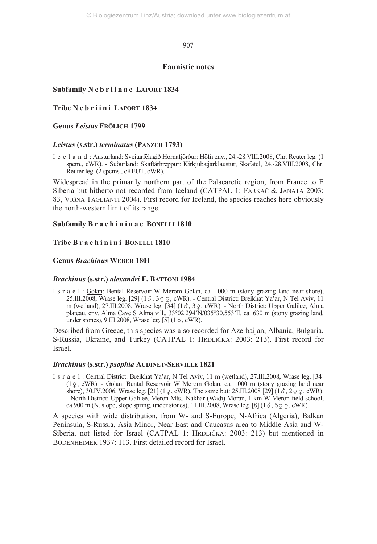## **Faunistic notes**

## **Subfamily N e b r i i n a e LAPORT 1834**

**Tribe N e b r i i n i LAPORT 1834**

**Genus** *Leistus* **FRÖLICH 1799**

## *Leistus* **(s.str.)** *terminatus* **(PANZER 1793)**

I c e l a n d : Austurland: Sveitarfélagið Hornafjörður: Höfn env., 24.-28.VIII.2008, Chr. Reuter leg. (1 spcm., cWR). - Suðurland: Skaftárhreppur: Kirkjubæjarklaustur, Skafatel, 24.-28.VIII.2008, Chr. Reuter leg. (2 spcms., cREUT, cWR).

Widespread in the primarily northern part of the Palaearctic region, from France to E Siberia but hitherto not recorded from Iceland (CATPAL 1: FARKAČ & JANATA 2003: 83, VIGNA TAGLIANTI 2004). First record for Iceland, the species reaches here obviously the north-western limit of its range.

## **Subfamily B r a c h i n i n a e BONELLI 1810**

## **Tribe B r a c h i n i n i BONELLI 1810**

## **Genus** *Brachinus* **WEBER 1801**

## *Brachinus* **(s.str.)** *alexandri* **F. BATTONI 1984**

I s r a e l : Golan: Bental Reservoir W Merom Golan, ca. 1000 m (stony grazing land near shore), 25.III.2008, Wrase leg.  $[29]$  (1 $\sigma$ , 3 $\varphi$  e, cWR). - Central District: Breikhat Ya'ar, N Tel Aviv, 11 m (wetland), 27.III.2008, Wrase leg.  $[34]$  ( $1\delta$ ,  $3\Omega$ , cWR). - North District: Upper Galilee, Alma plateau, env. Alma Cave S Alma vill., 33°02.294'N/035°30.553'E, ca. 630 m (stony grazing land, under stones),  $9.III.2008$ , Wrase leg. [5]  $(1 \varphi, \text{cWR})$ .

Described from Greece, this species was also recorded for Azerbaijan, Albania, Bulgaria, S-Russia, Ukraine, and Turkey (CATPAL 1: HRDLIČKA: 2003: 213). First record for Israel.

## *Brachinus* **(s.str.)** *psophia* **AUDINET-SERVILLE 1821**

I s r a e l : Central District: Breikhat Ya'ar, N Tel Aviv, 11 m (wetland), 27.III.2008, Wrase leg. [34]  $(1 \circ$ , cWR). - Golan: Bental Reservoir W Merom Golan, ca. 1000 m (stony grazing land near shore), 30.IV.2006, Wrase leg. [21] (1  $\varphi$ , cWR). The same but: 25.III.2008 [29] (1  $\varphi$ , 2  $\varphi$ , cWR). - North District: Upper Galilee, Meron Mts., Nakhar (Wadi) Moran, 1 km W Meron field school, ca 900 m (N. slope, slope spring, under stones),  $11.III.2008$ , Wrase leg. [8] ( $1\delta$ ,  $6\delta\phi$ , cWR).

A species with wide distribution, from W- and S-Europe, N-Africa (Algeria), Balkan Peninsula, S-Russia, Asia Minor, Near East and Caucasus area to Middle Asia and W-Siberia, not listed for Israel (CATPAL 1: HRDLIČKA: 2003: 213) but mentioned in BODENHEIMER 1937: 113. First detailed record for Israel.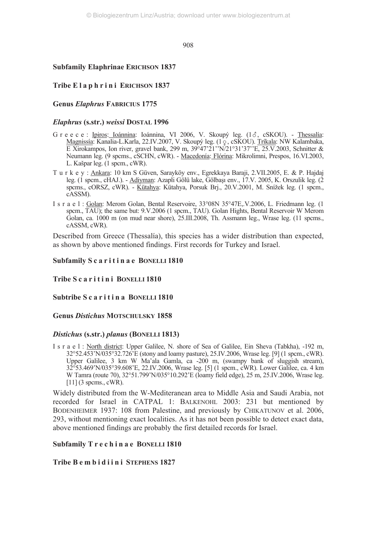## **Subfamily Elaphrinae ERICHSON 1837**

## **Tribe E l a p h r i n i ERICHSON 1837**

## **Genus** *Elaphrus* **FABRICIUS 1775**

## *Elaphrus* **(s.str.)** *weissi* **DOSTAL 1996**

- G r e e c e : Ipiros: Ioánnina: Ioánnina, VI 2006, V. Skoupý leg. (13, cSKOU). Thessalía: Magnissía: Kanalia-L.Karla, 22.IV.2007, V. Skoupý leg. (1 c , cSKOU). Tríkala: NW Kalambaka, E Xirokampos, Ion river, gravel bank, 299 m, 39°47'21''N/21°31'37''E, 25.V.2003, Schnitter & Neumann leg. (9 spcms., cSCHN, cWR). - Macedonía: Flórina: Mikrolimni, Prespos, 16.VI.2003, L. Kašpar leg. (1 spcm., cWR).
- T u r k e y : Ankara: 10 km S Güven, Sarayköy env., Egrekkaya Baraji, 2.VII.2005, E. & P. Hajdaj leg. (1 spcm., cHAJ.). - Adiyman: Azapli Gölü lake, Gölbaşı env., 17.V. 2005, K. Orszulik leg. (2 spcms., cORSZ, cWR). - Kütahya: Kütahya, Porsuk Brj., 20.V.2001, M. Snížek leg. (1 spcm., cASSM).
- I s r a e l : Golan: Merom Golan, Bental Reservoire, 33°08N 35°47E,.V.2006, L. Friedmann leg. (1 spcm., TAU); the same but: 9.V.2006 (1 spcm., TAU). Golan Hights, Bental Reservoir W Merom Golan, ca. 1000 m (on mud near shore), 25.III.2008, Th. Assmann leg., Wrase leg. (11 spcms., cASSM, cWR).

Described from Greece (Thessalía), this species has a wider distribution than expected, as shown by above mentioned findings. First records for Turkey and Israel.

## **Subfamily S c a r i t i n a e BONELLI 1810**

## **Tribe S c a r i t i n i BONELLI 1810**

## **Subtribe S c a r i t i n a BONELLI 1810**

## **Genus** *Distichus* **MOTSCHULSKY 1858**

## *Distichus* **(s.str.)** *planus* **(BONELLI 1813)**

I s r a e l : North district: Upper Galilee, N. shore of Sea of Galilee, Ein Sheva (Tabkha), -192 m, 32°52.453'N/035°32.726'E (stony and loamy pasture), 25.IV.2006, Wrase leg. [9] (1 spcm., cWR). Upper Galilee, 3 km W Ma'ala Gamla, ca -200 m, (swampy bank of sluggish stream), 32°53.469'N/035°39.608'E, 22.IV.2006, Wrase leg. [5] (1 spcm., cWR). Lower Galilee, ca. 4 km W Tamra (route 70), 32°51.799'N/035°10.292'E (loamy field edge), 25 m, 25.IV.2006, Wrase leg. [11] (3 spcms., cWR).

Widely distributed from the W-Mediteranean area to Middle Asia and Saudi Arabia, not recorded for Israel in CATPAL 1: BALKENOHL 2003: 231 but mentioned by BODENHEIMER 1937: 108 from Palestine, and previously by CHIKATUNOV et al. 2006, 293, without mentioning exact localities. As it has not been possible to detect exact data, above mentioned findings are probably the first detailed records for Israel.

## **Subfamily T r e c h i n a e BONELLI 1810**

## **Tribe B e m b i d i i n i STEPHENS 1827**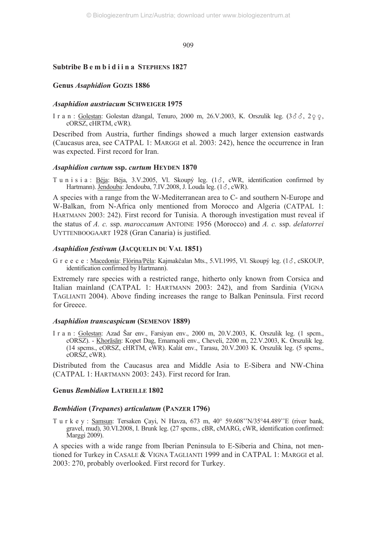## **Subtribe B e m b i d i i n a STEPHENS 1827**

#### **Genus** *Asaphidion* **GOZIS 1886**

#### *Asaphidion austriacum* **SCHWEIGER 1975**

I r a n : Golestan: Golestan džangal, Tenuro, 2000 m, 26.V.2003, K. Orszulik leg. (366, 200, cORSZ, cHRTM, cWR).

Described from Austria, further findings showed a much larger extension eastwards (Caucasus area, see CATPAL 1: MARGGI et al. 2003: 242), hence the occurrence in Iran was expected. First record for Iran.

#### *Asaphidion curtum* **ssp.** *curtum* **HEYDEN 1870**

T u n i s i a : Béja: Béja, 3.V.2005, Vl. Skoupý leg.  $(1\delta, \text{cWR}, \text{identification confirmed by})$ Hartmann). Jendouba: Jendouba, 7.IV.2008, J. Louda leg. (13, cWR).

A species with a range from the W-Mediterranean area to C- and southern N-Europe and W-Balkan, from N-Africa only mentioned from Morocco and Algeria (CATPAL 1: HARTMANN 2003: 242). First record for Tunisia. A thorough investigation must reveal if the status of *A. c.* ssp. *maroccanum* ANTOINE 1956 (Morocco) and *A. c.* ssp. *delatorrei* UYTTENBOOGAART 1928 (Gran Canaria) is justified.

#### *Asaphidion festivum* **(JACQUELIN DU VAL 1851)**

G r e e c e : Macedonía: Flórina/Péla: Kajmakčalan Mts., 5.VI.1995, Vl. Skoupý leg. (13, cSKOUP, identification confirmed by Hartmann).

Extremely rare species with a restricted range, hitherto only known from Corsica and Italian mainland (CATPAL 1: HARTMANN 2003: 242), and from Sardinia (VIGNA TAGLIANTI 2004). Above finding increases the range to Balkan Peninsula. First record for Greece.

## *Asaphidion transcaspicum* **(SEMENOV 1889)**

I r a n : Golestan: Azad Šar env., Farsiyan env., 2000 m, 20.V.2003, K. Orszulik leg. (1 spcm., cORSZ). - Khorāsān: Kopet Dag, Emamqoli env., Cheveli, 2200 m, 22.V.2003, K. Orszulik leg. (14 spcms., cORSZ, cHRTM, cWR). Kalát env., Tarasu, 20.V.2003 K. Orszulik leg. (5 spcms., cORSZ, cWR).

Distributed from the Caucasus area and Middle Asia to E-Sibera and NW-China (CATPAL 1: HARTMANN 2003: 243). First record for Iran.

## **Genus** *Bembidion* **LATREILLE 1802**

#### *Bembidion* **(***Trepanes***)** *articulatum* **(PANZER 1796)**

T u r k e y : Samsun: Tersaken Çayi, N Havza, 673 m, 40° 59.608''N/35°44.489''E (river bank, gravel, mud), 30.VI.2008, I. Brunk leg. (27 spcms., cBR, cMARG, cWR, identification confirmed: Marggi 2009).

A species with a wide range from Iberian Peninsula to E-Siberia and China, not mentioned for Turkey in CASALE & VIGNA TAGLIANTI 1999 and in CATPAL 1: MARGGI et al. 2003: 270, probably overlooked. First record for Turkey.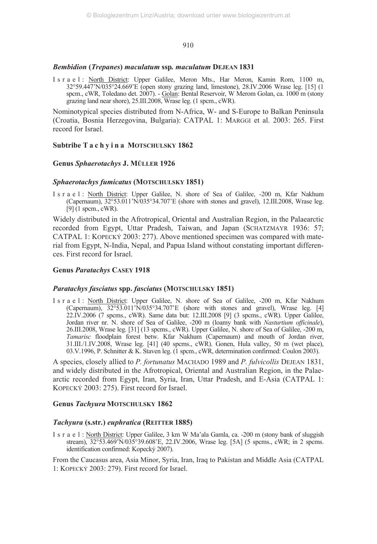## *Bembidion* **(***Trepanes***)** *maculatum* **ssp***. maculatum* **DEJEAN 1831**

I s r a e l : North District: Upper Galilee, Meron Mts., Har Meron, Kamin Rom, 1100 m, 32°59.447'N/035°24.669'E (open stony grazing land, limestone), 28.IV.2006 Wrase leg. [15] (1 spcm., cWR, Toledano det. 2007). - Golan: Bental Reservoir, W Merom Golan, ca. 1000 m (stony grazing land near shore), 25.III.2008, Wrase leg. (1 spcm., cWR).

Nominotypical species distributed from N-Africa, W- and S-Europe to Balkan Peninsula (Croatia, Bosnia Herzegovina, Bulgaria): CATPAL 1: MARGGI et al. 2003: 265. First record for Israel.

## **Subtribe T a c h y i n a MOTSCHULSKY 1862**

## **Genus** *Sphaerotachys* **J. MÜLLER 1926**

## *Sphaerotachys fumicatus* **(MOTSCHULSKY 1851)**

I s r a e l : North District: Upper Galilee, N. shore of Sea of Galilee, -200 m, Kfar Nakhum (Capernaum), 32°53.011'N/035°34.707'E (shore with stones and gravel), 12.III.2008, Wrase leg. [9] (1 spcm., cWR).

Widely distributed in the Afrotropical, Oriental and Australian Region, in the Palaearctic recorded from Egypt, Uttar Pradesh, Taiwan, and Japan (SCHATZMAYR 1936: 57; CATPAL 1: KOPECKÝ 2003: 277). Above mentioned specimen was compared with material from Egypt, N-India, Nepal, and Papua Island without constating important differences. First record for Israel.

## **Genus** *Paratachys* **CASEY 1918**

## *Paratachys fasciatus* **spp.** *fasciatus* **(MOTSCHULSKY 1851)**

I s r a e l : North District: Upper Galilee, N. shore of Sea of Galilee, -200 m, Kfar Nakhum (Capernaum), 32°53.011'N/035°34.707'E (shore with stones and gravel), Wrase leg. [4] 22.IV.2006 (7 spcms., cWR). Same data but: 12.III.2008 [9] (3 spcms., cWR). Upper Galilee, Jordan river nr. N. shore of Sea of Galilee, -200 m (loamy bank with *Nasturtium officinale*), 26.III.2008, Wrase leg. [31] (13 spcms., cWR). Upper Galilee, N. shore of Sea of Galilee, -200 m, *Tamarisc* floodplain forest betw. Kfar Nakhum (Capernaum) and mouth of Jordan river, 31.III./1.IV.2008, Wrase leg. [41] (40 spcms., cWR). Gonen, Hula valley, 50 m (wet place), 03.V.1996, P. Schnitter & K. Staven leg. (1 spcm., cWR, determination confirmed: Coulon 2003).

A species, closely allied to *P. fortunatus* MACHADO 1989 and *P. fulvicollis* DEJEAN 1831, and widely distributed in the Afrotropical, Oriental and Australian Region, in the Palaearctic recorded from Egypt, Iran, Syria, Iran, Uttar Pradesh, and E-Asia (CATPAL 1: KOPECKÝ 2003: 275). First record for Israel.

## **Genus** *Tachyura* **MOTSCHULSKY 1862**

## *Tachyura* **(s.str***.***)** *euphratica* **(REITTER 1885)**

I s r a e l : North District: Upper Galilee, 3 km W Ma'ala Gamla, ca. -200 m (stony bank of sluggish stream), 32°53.469'N/035°39.608'E, 22.IV.2006, Wrase leg. [5A] (5 spcms., cWR; in 2 spcms. identification confirmed: Kopecký 2007).

From the Caucasus area, Asia Minor, Syria, Iran, Iraq to Pakistan and Middle Asia (CATPAL 1: KOPECKÝ 2003: 279). First record for Israel.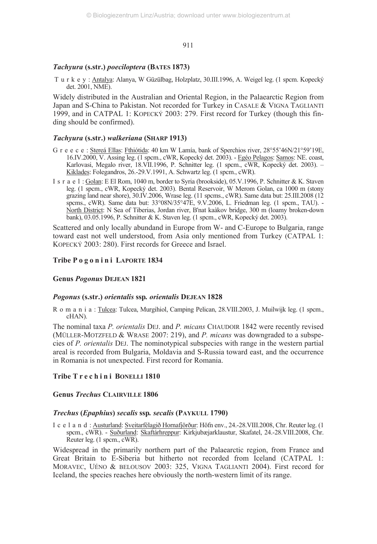## *Tachyura* **(s.str.)** *poeciloptera* **(BATES 1873)**

 T u r k e y : Antalya: Alanya, W Güzülbag, Holzplatz, 30.III.1996, A. Weigel leg. (1 spcm. Kopecký det. 2001, NME).

Widely distributed in the Australian and Oriental Region, in the Palaearctic Region from Japan and S-China to Pakistan. Not recorded for Turkey in CASALE & VIGNA TAGLIANTI 1999, and in CATPAL 1: KOPECKÝ 2003: 279. First record for Turkey (though this finding should be confirmed).

#### *Tachyura* **(s.str.)** *walkeriana* **(SHARP 1913)**

- G r e e c e : Stereá Ellas: Fthiótida: 40 km W Lamía, bank of Sperchios river, 28°55'46N/21°59'19E, 16.IV.2000, V. Assing leg. (1 spcm., cWR, Kopecký det. 2003). - Egéo Pelagos: Samos: NE. coast, Karlovasi, Megalo river, 18.VII.1996, P. Schnitter leg. (1 spcm., cWR, Kopecký det. 2003). – Kiklades: Folegandros, 26.-29.V.1991, A. Schwartz leg. (1 spcm., cWR).
- I s r a e l : Golan: E El Rom, 1040 m, border to Syria (brookside), 05.V.1996, P. Schnitter & K. Staven leg. (1 spcm., cWR, Kopecký det. 2003). Bental Reservoir, W Merom Golan, ca 1000 m (stony grazing land near shore), 30.IV.2006, Wrase leg. (11 spcms., cWR). Same data but: 25.III.2008 (12 spcms., cWR). Same data but: 33°08N/35°47E, 9.V.2006, L. Friedman leg. (1 spcm., TAU). - North District: N Sea of Tiberias, Jordan river, B'nat kaàkov bridge, 300 m (loamy broken-down bank), 03.05.1996, P. Schnitter & K. Staven leg. (1 spcm., cWR, Kopecký det. 2003).

Scattered and only locally abundand in Europe from W- and C-Europe to Bulgaria, range toward east not well understood, from Asia only mentioned from Turkey (CATPAL 1: KOPECKÝ 2003: 280). First records for Greece and Israel.

## **Tribe P o g o n i n i LAPORTE 1834**

## **Genus** *Pogonus* **DEJEAN 1821**

#### *Pogonus* **(s.str.)** *orientalis* **ssp***. orientalis* **DEJEAN 1828**

R o m a n i a : Tulcea: Tulcea, Murgihiol, Camping Pelican, 28.VIII.2003, J. Muilwijk leg. (1 spcm., cHAN).

The nominal taxa *P. orientalis* DEJ. and *P. micans* CHAUDOIR 1842 were recently revised (MÜLLER-MOTZFELD & WRASE 2007: 219), and *P. micans* was downgraded to a subspecies of *P. orientalis* DEJ. The nominotypical subspecies with range in the western partial areal is recorded from Bulgaria, Moldavia and S-Russia toward east, and the occurrence in Romania is not unexpected. First record for Romania.

## **Tribe T r e c h i n i BONELLI 1810**

## **Genus** *Trechus* **CLAIRVILLE 1806**

#### *Trechus* **(***Epaphius***)** *secalis* **ssp***. secalis* **(PAYKULL 1790)**

I c e l a n d : Austurland: Sveitarfélagið Hornafjörður: Höfn env., 24.-28.VIII.2008, Chr. Reuter leg. (1 spcm., cWR). - Suðurland: Skaftárhreppur: Kirkjubæjarklaustur, Skafatel, 24.-28.VIII.2008, Chr. Reuter leg. (1 spcm., cWR).

Widespread in the primarily northern part of the Palaearctic region, from France and Great Britain to E-Siberia but hitherto not recorded from Iceland (CATPAL 1: MORAVEC, UÉNO & BELOUSOV 2003: 325, VIGNA TAGLIANTI 2004). First record for Iceland, the species reaches here obviously the north-western limit of its range.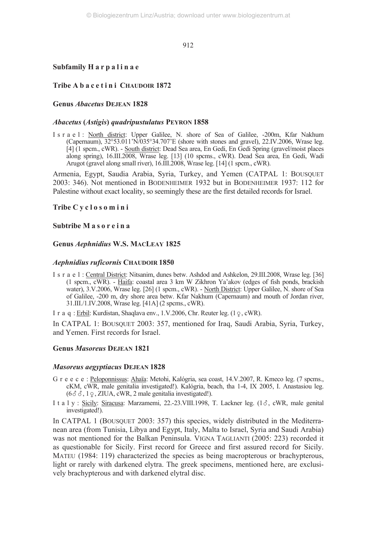## **Subfamily H a r p a l i n a e**

## Tribe A b a c e t i n i CHAUDOIR 1872

## **Genus** *Abacetus* **DEJEAN 1828**

## *Abacetus* **(***Astigis***)** *quadripustulatus* **PEYRON 1858**

I s r a e l : North district: Upper Galilee, N. shore of Sea of Galilee, -200m, Kfar Nakhum (Capernaum), 32°53.011'N/035°34.707'E (shore with stones and gravel), 22.IV.2006, Wrase leg. [4] (1 spcm., cWR). - South district: Dead Sea area, En Gedi, En Gedi Spring (gravel/moist places along spring), 16.III.2008, Wrase leg. [13] (10 spcms., cWR). Dead Sea area, En Gedi, Wadi Arugot (gravel along small river), 16.III.2008, Wrase leg. [14] (1 spcm., cWR).

Armenia, Egypt, Saudia Arabia, Syria, Turkey, and Yemen (CATPAL 1: BOUSQUET 2003: 346). Not mentioned in BODENHEIMER 1932 but in BODENHEIMER 1937: 112 for Palestine without exact locality, so seemingly these are the first detailed records for Israel.

## **Tribe C y c l o s o m i n i**

## **Subtribe M a s o r e i n a**

## **Genus** *Aephnidius* **W.S. MACLEAY 1825**

## *Aephnidius ruficornis* **CHAUDOIR 1850**

I s r a e l : Central District: Nitsanim, dunes betw. Ashdod and Ashkelon, 29.III.2008, Wrase leg. [36] (1 spcm., cWR). - Haifa: coastal area 3 km W Zikhron Ya'akov (edges of fish ponds, brackish water), 3.V.2006, Wrase leg. [26] (1 spcm., cWR). - North District: Upper Galilee, N. shore of Sea of Galilee, -200 m, dry shore area betw. Kfar Nakhum (Capernaum) and mouth of Jordan river, 31.III./1.IV.2008, Wrase leg. [41A] (2 spcms., cWR).

I r a q : <u>Erbil</u>: Kurdistan, Shaqlava env., 1.V.2006, Chr. Reuter leg. (1 <sub>9</sub>, cWR).

In CATPAL 1: BOUSQUET 2003: 357, mentioned for Iraq, Saudi Arabia, Syria, Turkey, and Yemen. First records for Israel.

## **Genus** *Masoreus* **DEJEAN 1821**

#### *Masoreus aegyptiacus* **DEJEAN 1828**

- G r e e c e : Peloponnissus: Ahaïa: Metohi, Kalógria, sea coast, 14.V.2007, R. Kmeco leg. (7 spcms., cKM, cWR, male genitalia investigated!). Kalógria, beach, tha 1-4, IX 2005, I. Anastasiou leg.  $(6\delta\delta, 1\gamma, ZIUA, cWR, 2 \text{ male genitalia investigated!).$
- I t a  $1y$  : Sicily: Siracusa: Marzamemi, 22.-23. VIII.1998, T. Lackner leg. (1 $\delta$ , cWR, male genital investigated!).

In CATPAL 1 (BOUSQUET 2003: 357) this species, widely distributed in the Mediterranean area (from Tunisia, Libya and Egypt, Italy, Malta to Israel, Syria and Saudi Arabia) was not mentioned for the Balkan Peninsula. VIGNA TAGLIANTI (2005: 223) recorded it as questionable for Sicily. First record for Greece and first assured record for Sicily. MATEU (1984: 119) characterized the species as being macropterous or brachypterous, light or rarely with darkened elytra. The greek specimens, mentioned here, are exclusively brachypterous and with darkened elytral disc.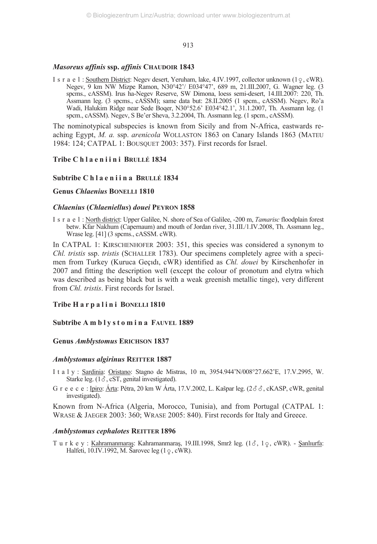## *Masoreus affinis* **ssp.** *affinis* **CHAUDOIR 1843**

I s r a e l : Southern District: Negev desert, Yeruham, lake, 4.IV.1997, collector unknown  $(1 \circ, \text{cWR})$ . Negev, 9 km NW Mizpe Ramon, N30°42'/ E034°47', 689 m, 21.III.2007, G. Wagner leg. (3 spcms., cASSM). Irus ha-Negev Reserve, SW Dimona, loess semi-desert, 14.III.2007: 220, Th. Assmann leg. (3 spcms., cASSM); same data but: 28.II.2005 (1 spcm., cASSM). Negev, Ro'a Wadi, Halukim Ridge near Sede Boqer, N30°52.6' E034°42.1', 31.1.2007, Th. Assmann leg. (1 spcm., cASSM). Negev, S Be'er Sheva, 3.2.2004, Th. Assmann leg. (1 spcm., cASSM).

The nominotypical subspecies is known from Sicily and from N-Africa, eastwards reaching Egypt, *M. a.* ssp. *arenicola* WOLLASTON 1863 on Canary Islands 1863 (MATEU 1984: 124; CATPAL 1: BOUSQUET 2003: 357). First records for Israel.

## **Tribe C h l a e n i i n i BRULLÉ 1834**

## **Subtribe C h l a e n i i n a BRULLÉ 1834**

## **Genus** *Chlaenius* **BONELLI 1810**

#### *Chlaenius* **(***Chlaeniellus***)** *douei* **PEYRON 1858**

I s r a e l : North district: Upper Galilee, N. shore of Sea of Galilee, -200 m, *Tamarisc* floodplain forest betw. Kfar Nakhum (Capernaum) and mouth of Jordan river, 31.III./1.IV.2008, Th. Assmann leg., Wrase leg. [41] (3 spcms., cASSM. cWR).

In CATPAL 1: KIRSCHENHOFER 2003: 351, this species was considered a synonym to *Chl. tristis* ssp. *tristis* (SCHALLER 1783). Our specimens completely agree with a specimen from Turkey (Kuruca Geçıdı, cWR) identified as *Chl. douei* by Kirschenhofer in 2007 and fitting the description well (except the colour of pronotum and elytra which was described as being black but is with a weak greenish metallic tinge), very different from *Chl. tristis*. First records for Israel.

## **Tribe H a r p a l i n i BONELLI 1810**

## **Subtribe A m b l y s t o m i n a FAUVEL 1889**

## **Genus** *Amblystomus* **ERICHSON 1837**

#### *Amblystomus algirinus* **REITTER 1887**

- I t a l y : Sardinia: Oristano: Stagno de Mistras, 10 m, 3954.944'N/008°27.662'E, 17.V.2995, W. Starke leg.  $(1, \delta, cST,$  genital investigated).
- G r e e c e : Ipiro: Árta: Pétra, 20 km W Árta, 17.V.2002, L. Kašpar leg.  $(2\delta\delta, cKASP, cWR,$  genital investigated).

Known from N-Africa (Algeria, Morocco, Tunisia), and from Portugal (CATPAL 1: WRASE & JAEGER 2003: 360; WRASE 2005: 840). First records for Italy and Greece.

#### *Amblystomus cephalotes* **REITTER 1896**

T u r k e y : Kahramanmaraş: Kahramanmaraş, 19.III.1998, Smrž leg. (13, 10, cWR). - <u>Şanlıurfa</u>: Halfeti, 10.IV.1992, M. Šarovec leg  $(1 \circ, \text{cWR})$ .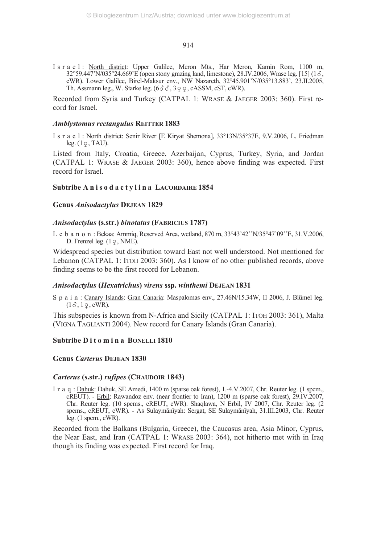I s r a e l : North district: Upper Galilee, Meron Mts., Har Meron, Kamin Rom, 1100 m,  $32^{\circ}59.447^{\circ}N/035^{\circ}24.669^{\circ}E$  (open stony grazing land, limestone), 28.IV.2006, Wrase leg. [15] (1 $\delta$ , cWR). Lower Galilee, Birel-Maksur env., NW Nazareth, 32°45.901'N/035°13.883', 23.II.2005, Th. Assmann leg., W. Starke leg.  $(6\delta \delta, 3\varphi \varphi, cASSM, cST, cWR)$ .

Recorded from Syria and Turkey (CATPAL 1: WRASE & JAEGER 2003: 360). First record for Israel.

## *Amblystomus rectangulus* **REITTER 1883**

I s r a e l : North district: Senir River [E Kiryat Shemona], 33°13N/35°37E, 9.V.2006, L. Friedman leg.  $(1 \varphi, \text{TAU})$ .

Listed from Italy, Croatia, Greece, Azerbaijan, Cyprus, Turkey, Syria, and Jordan (CATPAL 1: WRASE & JAEGER 2003: 360), hence above finding was expected. First record for Israel.

## Subtribe A n i s o d a c t y l i n a LACORDAIRE 1854

#### **Genus** *Anisodactylus* **DEJEAN 1829**

#### *Anisodactylus* **(s.str.)** *binotatus* **(FABRICIUS 1787)**

L e b a n o n : Bekaa: Ammiq, Reserved Area, wetland, 870 m, 33°43'42''N/35°47'09''E, 31.V.2006, D. Frenzel leg.  $(1 \varphi, \text{NME})$ .

Widespread species but distribution toward East not well understood. Not mentioned for Lebanon (CATPAL 1: ITOH 2003: 360). As I know of no other published records, above finding seems to be the first record for Lebanon.

## *Anisodactylus* **(***Hexatrichus***)** *virens* **ssp.** *winthemi* **DEJEAN 1831**

S p a i n : Canary Islands: Gran Canaria: Maspalomas env., 27.46N/15.34W, II 2006, J. Blümel leg.  $(1\delta, 1\epsilon, \text{cWR})$ .

This subspecies is known from N-Africa and Sicily (CATPAL 1: ITOH 2003: 361), Malta (VIGNA TAGLIANTI 2004). New record for Canary Islands (Gran Canaria).

## **Subtribe D i t o m i n a BONELLI 1810**

## **Genus** *Carterus* **DEJEAN 1830**

## *Carterus* **(s.str.)** *rufipes* **(CHAUDOIR 1843)**

I r a q : Dahuk: Dahuk, SE Amedi, 1400 m (sparse oak forest), 1.-4.V.2007, Chr. Reuter leg. (1 spcm., cREUT). - Erbil: Rawandoz env. (near frontier to Iran), 1200 m (sparse oak forest), 29.IV.2007, Chr. Reuter leg. (10 spcms., cREUT, cWR). Shaqlawa, N Erbil, IV 2007, Chr. Reuter leg. (2 spcms., cREUT, cWR). - As Sulaymānīyah: Sergat, SE Sulaymānīyah, 31.III.2003, Chr. Reuter leg. (1 spcm., cWR).

Recorded from the Balkans (Bulgaria, Greece), the Caucasus area, Asia Minor, Cyprus, the Near East, and Iran (CATPAL 1: WRASE 2003: 364), not hitherto met with in Iraq though its finding was expected. First record for Iraq.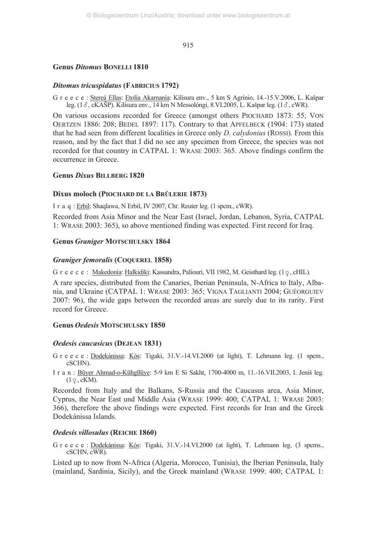## **Genus** *Ditomus* **BONELLI 1810**

## *Ditomus tricuspidatus* **(FABRICIUS 1792)**

G r e e c e : Stereá Ellas: Etolía Akarnanía: Kilisura env., 5 km S Agrínio, 14.-15.V.2006, L. Kašpar leg. (1 $\delta$ , cKAŠP). Kilisura env., 14 km N Messolóngi, 8.VI.2005, L. Kašpar leg. (1 $\delta$ , cWR).

On various occasions recorded for Greece (amongst others PIOCHARD 1873: 55; VON OERTZEN 1886: 208; BEDEL 1897: 117). Contrary to that APFELBECK (1904: 173) stated that he had seen from different localities in Greece only *D. calydonius* (ROSSI). From this reason, and by the fact that I did no see any specimen from Greece, the species was not recorded for that country in CATPAL 1: WRASE 2003: 365. Above findings confirm the occurrence in Greece.

## **Genus** *Dixus* **BILLBERG 1820**

## **Dixus moloch (PIOCHARD DE LA BRÛLERIE 1873)**

I r a q : Erbil: Shaqlawa, N Erbil, IV 2007, Chr. Reuter leg. (1 spcm., cWR).

Recorded from Asia Minor and the Near East (Israel, Jordan, Lebanon, Syria, CATPAL 1: WRASE 2003: 365), so above mentioned finding was expected. First record for Iraq.

## **Genus** *Graniger* **MOTSCHULSKY 1864**

## *Graniger femoralis* **(COQUEREL 1858)**

G r e e c e : <u>Makedonía</u>: <u>Halkidiki</u>: Kassandra, Paliouri, VII 1982, M. Geisthard leg. (1<sub>9</sub>, cHIL).

A rare species, distributed from the Canaries, Iberian Peninsula, N-Africa to Italy, Albania, and Ukraine (CATPAL 1: WRASE 2003: 365; VIGNA TAGLIANTI 2004; GUÉORGUIEV 2007: 96), the wide gaps between the recorded areas are surely due to its rarity. First record for Greece.

## **Genus** *Oedesis* **MOTSCHULSKY 1850**

## *Oedesis caucasicus* **(DEJEAN 1831)**

G r e e c e : Dodekánissa: Kós: Tigaki, 31.V.-14.VI.2000 (at light), T. Lehmann leg. (1 spcm., cSCHN).

Iran:Būyer Ahmad-o-Kūhgīlūye: 5-9 km E Si Sakht, 1700-4000 m, 11.-16.VII.2003, I. Jeniš leg.  $(1\varphi, \text{cKM})$ .

Recorded from Italy and the Balkans, S-Russia and the Caucasus area, Asia Minor, Cyprus, the Near East und Middle Asia (WRASE 1999: 400; CATPAL 1: WRASE 2003: 366), therefore the above findings were expected. First records for Iran and the Greek Dodekánissa Islands.

## *Oedesis villosulus* **(REICHE 1860)**

G r e e c e : Dodekánissa: Kós: Tigaki, 31.V.-14.VI.2000 (at light), T. Lehmann leg. (3 spcms., cSCHN, cWR).

Listed up to now from N-Africa (Algeria, Morocco, Tunisia), the Iberian Peninsula, Italy (mainland, Sardinia, Sicily), and the Greek mainland (WRASE 1999: 400; CATPAL 1: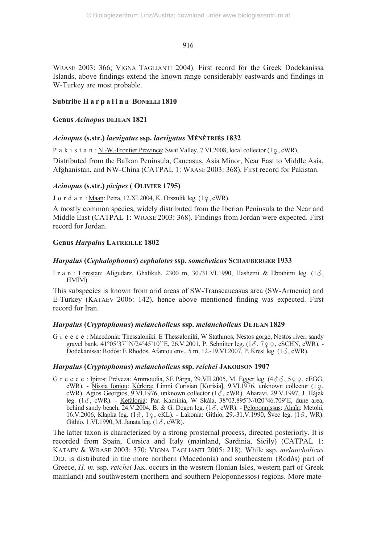WRASE 2003: 366; VIGNA TAGLIANTI 2004). First record for the Greek Dodekánissa Islands, above findings extend the known range considerably eastwards and findings in W-Turkey are most probable.

## Subtribe H a r p a l i n a BONELLI 1810

## **Genus** *Acinopus* **DEJEAN 1821**

## *Acinopus* **(s.str.)** *laevigatus* **ssp.** *laevigatus* **MÉNÉTRIÉS 1832**

P a k i s t a n : <u>N.-W.-Frontier Province</u>: Swat Valley, 7.VI.2008, local collector (1  $\varphi$ , cWR).

Distributed from the Balkan Peninsula, Caucasus, Asia Minor, Near East to Middle Asia, Afghanistan, and NW-China (CATPAL 1: WRASE 2003: 368). First record for Pakistan.

## *Acinopus* **(s.str.)** *picipes* **( OLIVIER 1795)**

J o r d a n : <u>Maan</u>: Petra, 12.XI.2004, K. Orszulik leg. (1 <sub>?</sub>, cWR).

A mostly common species, widely distributed from the Iberian Peninsula to the Near and Middle East (CATPAL 1: WRASE 2003: 368). Findings from Jordan were expected. First record for Jordan.

## **Genus** *Harpalus* **LATREILLE 1802**

## *Harpalus* **(***Cephalophonus***)** *cephalotes* **ssp.** *somcheticus* **SCHAUBERGER 1933**

I r a n : Lorestan: Aligudarz, Ghalikuh, 2300 m, 30./31.VI.1990, Hashemi & Ebrahimi leg.  $(1\delta,$ HMIM).

This subspecies is known from arid areas of SW-Transcaucasus area (SW-Armenia) and E-Turkey (KATAEV 2006: 142), hence above mentioned finding was expected. First record for Iran.

## *Harpalus* **(***Cryptophonus***)** *melancholicus* **ssp.** *melancholicus* **DEJEAN 1829**

G r e e c e : Macedonía: Thessaloníki: E Thessaloníki, W Stathmos, Nestos gorge, Nestos river, sandy gravel bank, 41°05'37''N/24°45'10''E, 26.V.2001, P. Schnitter leg. (13, 799, cSCHN, cWR). -Dodekanissa: Rodós: E Rhodos, Afantou env., 5 m, 12.-19. VI. 2007, P. Kresl leg.  $(1\delta, \text{cWR})$ .

## *Harpalus* **(***Cryptophonus***)** *melancholicus* **ssp.** *reichei* **JAKOBSON 1907**

G r e e c e : Ipiros: Préveza: Ammoudia, SE Párga, 29.VII.2005, M. Egger leg. (48 8, 5 9 9, cEGG, cWR). - Nissia Ioniou: Kérkira: Limni Corisian [Korisia], 9.VI.1976, unknown collector (19, cWR). Agios Georgios, 9.VI.1976, unknown collector  $(1\vec{\delta}, \text{cWR})$ . Aharavi, 29.V.1997, J. Hájek leg.  $(1, \delta)$ , cWR). - Kefaloniá: Par. Kaminia, W Skála,  $38^{\circ}03.895$ 'N/020°46.709'E, dune area, behind sandy beach,  $24$ ,  $V$ ,  $2004$ , B. & G. Degen leg.  $(1\delta, \text{cWR})$ . - Peloponnissus: Ahaïa: Metohi, 16.V.2006, Klapka leg. (13, 19, cKL). - <u>Lakonía</u>: Githío, 29.-31.V.1990, Švec leg. (13, WR). Githío, 1.VI.1990, M. Janata leg.  $(1\delta, \text{cWR})$ .

The latter taxon is characterized by a strong prosternal process, directed posteriorly. It is recorded from Spain, Corsica and Italy (mainland, Sardinia, Sicily) (CATPAL 1: KATAEV & WRASE 2003: 370; VIGNA TAGLIANTI 2005: 218). While ssp. *melancholicus* DEJ. is distributed in the more northern (Macedonía) and southeastern (Rodós) part of Greece, *H. m.* ssp. *reichei* JAK. occurs in the western (Ionian Isles, western part of Greek mainland) and southwestern (northern and southern Peloponnessos) regions. More mate-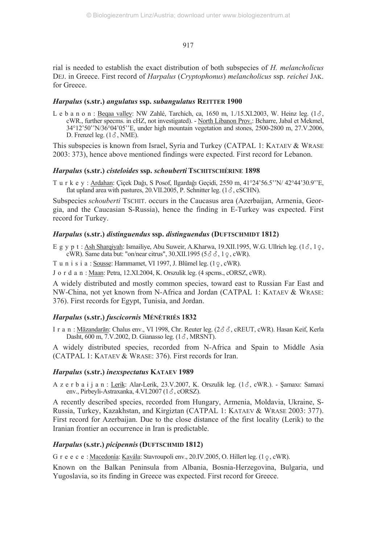rial is needed to establish the exact distribution of both subspecies of *H. melancholicus* DEJ. in Greece. First record of *Harpalus* (*Cryptophonus*) *melancholicus* ssp. *reichei* JAK. for Greece.

## *Harpalus* **(s.str.)** *angulatus* **ssp.** *subangulatus* **REITTER 1900**

L e b a n o n : Beqaa valley: NW Zahlé, Tarchich, ca,  $1650$  m,  $1/15$ .XI.2003, W. Heinz leg.  $(1\delta,$ cWR., further specms. in cHZ, not investigated). - North Libanon Prov.: Bcharre, Jabal et Mekmel, 34°12'50''N/36°04'05''E, under high mountain vegetation and stones, 2500-2800 m, 27.V.2006, D. Frenzel leg.  $(1\delta, \text{NME})$ .

This subspecies is known from Israel, Syria and Turkey (CATPAL 1: KATAEV & WRASE 2003: 373), hence above mentioned findings were expected. First record for Lebanon.

## *Harpalus* **(s.str.)** *cisteloides* **ssp.** *schouberti* **TSCHITSCHÉRINE 1898**

T u r k e y : Ardahan: Çiçek Dağı, S Posof, Ilgardağı Geçidi, 2550 m, 41°24'56.5''N/ 42°44'30.9''E, flat upland area with pastures,  $20. \text{VII}.2005$ , P. Schnitter leg. (1 $\delta$ , cSCHN).

Subspecies *schouberti* TSCHIT. occurs in the Caucasus area (Azerbaijan, Armenia, Georgia, and the Caucasian S-Russia), hence the finding in E-Turkey was expected. First record for Turkey.

## *Harpalus* **(s.str.)** *distinguendus* **ssp.** *distinguendus* **(DUFTSCHMIDT 1812)**

E g y p t : Ash Sharqiyah: Ismailiye, Abu Suweir, A.Kharwa, 19.XII.1995, W.G. Ullrich leg.  $(1\delta, 1\delta)$ cWR). Same data but: "on/near citrus",  $30.XII.1995 (5 \delta \delta, 1 \epsilon, \text{cWR})$ .

T u n i s i a :  $S$ ousse: Hammamet, VI 1997, J. Blümel leg.  $(1 \circ, \text{cWR})$ .

J o r d a n : Maan: Petra, 12.XI.2004, K. Orszulik leg. (4 spcms., cORSZ, cWR).

A widely distributed and mostly common species, toward east to Russian Far East and NW-China, not yet known from N-Africa and Jordan (CATPAL 1: KATAEV & WRASE: 376). First records for Egypt, Tunisia, and Jordan.

## *Harpalus* **(s.str.)** *fuscicornis* **MÉNÉTRIÉS 1832**

I r a n : Māzandarān: Chalus env., VI 1998, Chr. Reuter leg. (2 $\delta \delta$ , cREUT, cWR). Hasan Keif, Kerla Dasht,  $600$  m,  $7$ .V.2002, D. Gianasso leg.  $(1\delta, MRSNT)$ .

A widely distributed species, recorded from N-Africa and Spain to Middle Asia (CATPAL 1: KATAEV & WRASE: 376). First records for Iran.

## *Harpalus* **(s.str.)** *inexspectatus* **KATAEV 1989**

A z e r b a i j a n : Lerik: Alar-Lerik, 23.V.2007, K. Orszulik leg.  $(1\delta, \text{cWR})$ . - Samaxı: Samaxi env., Pirbeyli-Astraxanka, 4.VI.2007 ( $1\delta$ , cORSZ).

A recently described species, recorded from Hungary, Armenia, Moldavia, Ukraine, S-Russia, Turkey, Kazakhstan, and Kirgiztan (CATPAL 1: KATAEV & WRASE 2003: 377). First record for Azerbaijan. Due to the close distance of the first locality (Lerik) to the Iranian frontier an occurrence in Iran is predictable.

## *Harpalus***(s.str.)** *picipennis***(DUFTSCHMID 1812)**

G r e e c e : <u>Macedonía</u>: <u>Kavála</u>: Stavroupoli env., 20.IV.2005, O. Hillert leg. (1ç, cWR).

Known on the Balkan Peninsula from Albania, Bosnia-Herzegovina, Bulgaria, und Yugoslavia, so its finding in Greece was expected. First record for Greece.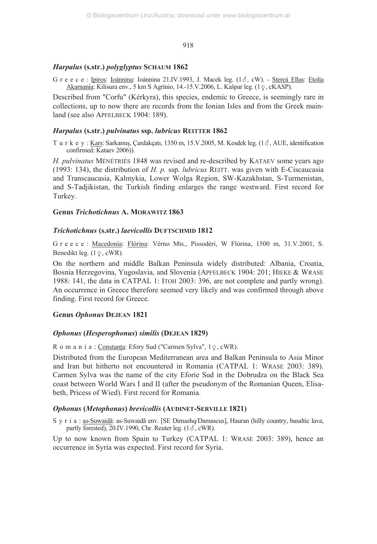## *Harpalus* **(s.str.)** *polyglyptus* **SCHAUM 1862**

G r e e c e : Ipiros: Ioánnina: Ioánnina 21.IV.1993, J. Macek leg. (1 $\delta$ , cW). - Stereá Ellas: Etolía <u>Akarnanía</u>: Kilisura env., 5 km S Agrínio, 14.-15.V.2006, L. Kašpar leg. (1 $\phi$ , cKASP).

Described from "Corfu" (Kérkyra), this species, endemic to Greece, is seemingly rare in collections, up to now there are records from the Ionian Isles and from the Greek mainland (see also APFELBECK 1904: 189).

#### *Harpalus* **(s.str.)** *pulvinatus* **ssp.** *lubricus* **REITTER 1862**

T u r k e y : Kars: Sarkamış, Çardakçatı, 1350 m, 15.V.2005, M. Kesdek leg. (16, AUE, identification confirmed: Kataev 2006)).

*H. pulvinatus* MÉNÉTRIÉS 1848 was revised and re-described by KATAEV some years ago (1993: 134), the distribution of *H. p.* ssp. *lubricus* REITT. was given with E-Ciscaucasia and Transcaucasia, Kalmykia, Lower Wolga Region, SW-Kazakhstan, S-Turmenistan, and S-Tadjikistan, the Turkish finding enlarges the range westward. First record for Turkey.

## **Genus** *Trichotichnus* **A. MORAWITZ 1863**

#### *Trichotichnus* **(s.str.)** *laevicollis* **DUFTSCHMID 1812**

G r e e c e : Macedonía: Flórina: Vérno Mts., Pissodéri, W Flórina, 1500 m, 31.V.2001, S. Benedikt leg.  $(1 \varphi, \text{cWR})$ .

On the northern and middle Balkan Peninsula widely distributed: Albania, Croatia, Bosnia Herzegovina, Yugoslavia, and Slovenia (APFELBECK 1904: 201; HIEKE & WRASE 1988: 141, the data in CATPAL 1: ITOH 2003: 396, are not complete and partly wrong). An occurrence in Greece therefore seemed very likely and was confirmed through above finding. First record for Greece.

#### **Genus** *Ophonus* **DEJEAN 1821**

#### *Ophonus* **(***Hesperophonus***)** *similis* **(DEJEAN 1829)**

R o m a n i a : <u>Constanța</u>: Efory Sud ("Carmen Sylva", 1 <sub>2</sub>, cWR).

Distributed from the European Mediterranean area and Balkan Peninsula to Asia Minor and Iran but hitherto not encountered in Romania (CATPAL 1: WRASE 2003: 389). Carmen Sylva was the name of the city Eforie Sud in the Dobrudza on the Black Sea coast between World Wars I and II (after the pseudonym of the Romanian Queen, Elisabeth, Pricess of Wied). First record for Romania.

## *Ophonus* **(***Metophonus***)** *brevicollis* **(AUDINET-SERVILLE 1821)**

S y r i a : as-Suwaidā: as-Suwaidā env. [SE Dimashq/Damascus], Hauran (hilly country, basaltic lava, partly forested), 20.IV.1990, Chr. Reuter leg.  $(1\delta, \text{cWR})$ .

Up to now known from Spain to Turkey (CATPAL 1: WRASE 2003: 389), hence an occurrence in Syria was expected. First record for Syria.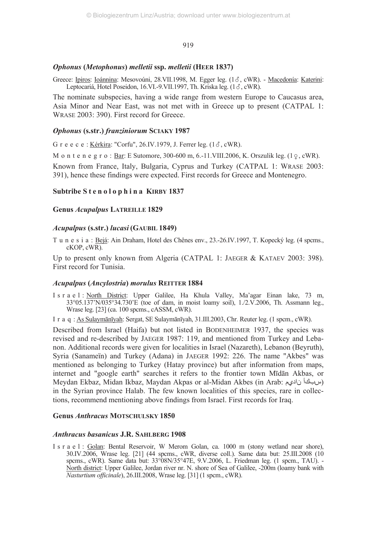## *Ophonus* **(***Metophonus***)** *melletii* **ssp.** *melletii* **(HEER 1837)**

Greece: Ipiros: Ioánnina: Mesovoúni, 28.VII.1998, M. Egger leg. (13, cWR). - Macedonía: Katerini: Leptocariá, Hotel Poseidon, 16.VI.-9.VII.1997, Th. Kriska leg.  $(1\delta, \text{cWR})$ .

The nominate subspecies, having a wide range from western Europe to Caucasus area, Asia Minor and Near East, was not met with in Greece up to present (CATPAL 1: WRASE 2003: 390). First record for Greece.

## *Ophonus* **(s.str.)** *franziniorum* **SCIAKY 1987**

G r e e c e : Kérkira: "Corfu", 26.IV.1979, J. Ferrer leg.  $(1\delta, \text{cWR})$ .

M o n t e n e g r o : <u>Bar</u>: E Sutomore, 300-600 m, 6.-11.VIII.2006, K. Orszulik leg. (1<sub>9</sub>, cWR).

Known from France, Italy, Bulgaria, Cyprus and Turkey (CATPAL 1: WRASE 2003: 391), hence these findings were expected. First records for Greece and Montenegro.

#### **Subtribe S t e n o l o p h i n a KIRBY 1837**

## **Genus** *Acupalpus* **LATREILLE 1829**

#### *Acupalpus* **(s.str.)** *lucasi* **(GAUBIL 1849)**

T u n e s i a : Bejá: Ain Draham, Hotel des Chênes env., 23.-26.IV.1997, T. Kopecký leg. (4 spcms., cKOP, cWR).

Up to present only known from Algeria (CATPAL 1: JAEGER & KATAEV 2003: 398). First record for Tunisia.

#### *Acupalpus* **(***Ancylostria***)** *morulus* **REITTER 1884**

I s r a e l : North District: Upper Galilee, Ha Khula Valley, Ma'agar Einan lake, 73 m, 33°05.137'N/035°34.730'E (toe of dam, in moist loamy soil), 1./2.V.2006, Th. Assmann leg., Wrase leg. [23] (ca. 100 spcms., cASSM, cWR).

I r a q : As Sulaymānīyah: Sergat, SE Sulaymānīyah, 31.III.2003, Chr. Reuter leg. (1 spcm., cWR).

Described from Israel (Haifa) but not listed in BODENHEIMER 1937, the species was revised and re-described by JAEGER 1987: 119, and mentioned from Turkey and Lebanon. Additional records were given for localities in Israel (Nazareth), Lebanon (Beyruth), Syria (Sanameïn) and Turkey (Adana) in JAEGER 1992: 226. The name "Akbes" was mentioned as belonging to Turkey (Hatay province) but after information from maps, internet and "google earth" searches it refers to the frontier town Mīdān Akbas, or Meydan Ekbaz, Midan Ikbaz, Maydan Akpas or al-Midan Akbes (in Arab: ناديم سبكأ( in the Syrian province Halab. The few known localities of this species, rare in collections, recommend mentioning above findings from Israel. First records for Iraq.

#### **Genus** *Anthracus* **MOTSCHULSKY 1850**

## *Anthracus basanicus* **J.R. SAHLBERG 1908**

I s r a e l : Golan: Bental Reservoir, W Merom Golan, ca. 1000 m (stony wetland near shore), 30.IV.2006, Wrase leg. [21] (44 spcms., cWR, diverse coll.). Same data but: 25.III.2008 (10 spcms., cWR). Same data but: 33°08N/35°47E, 9.V.2006, L. Friedman leg. (1 spcm., TAU). - North district: Upper Galilee, Jordan river nr. N. shore of Sea of Galilee, -200m (loamy bank with *Nasturtium officinale*), 26.III.2008, Wrase leg. [31] (1 spcm., cWR).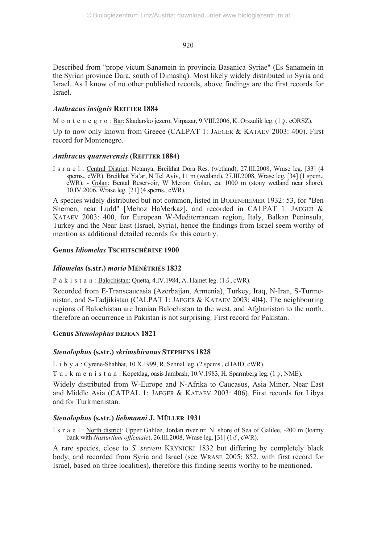Described from "prope vicum Sanamein in provincia Basanica Syriae" (Es Sanamein in the Syrian province Dara, south of Dimashq). Most likely widely distributed in Syria and Israel. As I know of no other published records, above findings are the first records for Israel.

## *Anthracus insignis* **REITTER 1884**

M o n t e n e g r o : <u>Bar</u>: Skadarsko jezero, Virpazar, 9.VIII.2006, K. Orszulik leg. (1<sub>9</sub>, cORSZ).

Up to now only known from Greece (CALPAT 1: JAEGER & KATAEV 2003: 400). First record for Montenegro.

## *Anthracus quarnerensis* **(REITTER 1884)**

I s r a e l : Central District: Netanya, Breikhat Dora Res. (wetland), 27.III.2008, Wrase leg. [33] (4 spcms., cWR). Breikhat Ya'ar, N Tel Aviv, 11 m (wetland), 27.III.2008, Wrase leg. [34] (1 spcm., cWR). - Golan: Bental Reservoir, W Merom Golan, ca. 1000 m (stony wetland near shore), 30.IV.2006, Wrase leg. [21] (4 spcms., cWR).

A species widely distributed but not common, listed in BODENHEIMER 1932: 53, for "Ben Shemen, near Ludd" [Mehoz HaMerkaz], and recorded in CALPAT 1: JAEGER & KATAEV 2003: 400, for European W-Mediterranean region, Italy, Balkan Peninsula, Turkey and the Near East (Israel, Syria), hence the findings from Israel seem worthy of mention as additional detailed records for this country.

## **Genus** *Idiomelas* **TSCHITSCHÉRINE 1900**

## *Idiomelas* **(s.str.)** *morio* **MÉNÉTRIÉS 1832**

P a k i s t a n : Balochistan: Quetta, 4.IV.1984, A. Hamet leg.  $(1\delta, \text{cWR})$ .

Recorded from E-Transcaucasia (Azerbaijan, Armenia), Turkey, Iraq, N-Iran, S-Turmenistan, and S-Tadjikistan (CALPAT 1: JAEGER & KATAEV 2003: 404). The neighbouring regions of Balochistan are Iranian Balochistan to the west, and Afghanistan to the north, therefore an occurrence in Pakistan is not surprising. First record for Pakistan.

## **Genus** *Stenolophus* **DEJEAN 1821**

## *Stenolophus* **(s.str.)** *skrimshiranus* **STEPHENS 1828**

L i b y a : Cyrene-Shahhat, 10.X.1999, R. Sehnal leg. (2 spcms., cHAID, cWR).

T u r k m e n i s t a n : Kopetdag, oasis Jambash,  $10.V.1983$ , H. Sparmberg leg.  $(1 \circ, \text{NME})$ .

Widely distributed from W-Europe and N-Afrika to Caucasus, Asia Minor, Near East and Middle Asia (CATPAL 1: JAEGER & KATAEV 2003: 406). First records for Libya and for Turkmenistan.

## *Stenolophus* **(s.str***.***)** *liebmanni* **J. MÜLLER 1931**

I s r a e l : North district: Upper Galilee, Jordan river nr. N. shore of Sea of Galilee, -200 m (loamy bank with *Nasturtium officinale*), 26.III.2008, Wrase leg. [31] (1 $\delta$ , cWR).

A rare species, close to *S. steveni* KRYNICKI 1832 but differing by completely black body, and recorded from Syria and Israel (see WRASE 2005: 852, with first record for Israel, based on three localities), therefore this finding seems worthy to be mentioned.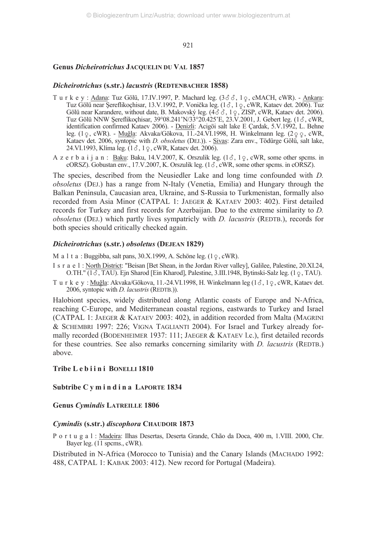## **Genus** *Dicheirotrichus* **JACQUELIN DU VAL 1857**

#### *Dicheirotrichus* **(s.str.)** *lacustris* **(REDTENBACHER 1858)**

- T u r k e y :  $\frac{\text{Adam}}{\text{mean}}$ : Tuz Gölü, 17.IV.1997, P. Machard leg. (3 $\delta \delta$ , 1 $\varphi$ , cMACH, cWR).  $\frac{\text{Ankara}}{\text{mean}}$ : Tuz Gölü near Şereflikoçhisar, 13.V.1992, P. Vonička leg. (13, 19, cWR, Kataev det. 2006). Tuz Gölü near Karandere, without date, B. Makovský leg.  $(433, 19, \text{ZISP}, \text{cWR}, \text{Kataev det}. 2006)$ Tuz Gölü NNW Şereflikoçhisar, 39°08.241'N/33°20.425'E, 23.V.2001, J. Gebert leg. (18, cWR, identification confirmed Kataev 2006). - <u>Denizli</u>: Acigöi salt lake E Çardak, 5.V.1992, L. Behne leg. (19, cWR). - <u>Muğla</u>: Akvaka/Gökova, 11.-24.VI.1998, H. Winkelmann leg. (299, cWR, Kataev det. 2006, syntopic with *D. obsoletus* (DEJ.)). - Sivas: Zara env., Tödürge Gölü, salt lake,  $24.\text{VI}.1993,$  Klíma leg.  $(1\delta, 1\epsilon, \text{cWR}, \text{Kataev det. } 2006)$ .
- A z e r b a i j a n :  $\underline{Baku}$ : Baku, 14.V.2007, K. Orszulik leg. (1 $\delta$ , 1 $\varphi$ , cWR, some other spcms. in cORSZ). Gobustan env., 17.V.2007, K. Orszulik leg.  $(1\delta, \text{cWR}, \text{some other spcms. in coRSZ})$ .

The species, described from the Neusiedler Lake and long time confounded with *D. obsoletus* (DEJ.) has a range from N-Italy (Venetia, Emilia) and Hungary through the Balkan Peninsula, Caucasian area, Ukraine, and S-Russia to Turkmenistan, formally also recorded from Asia Minor (CATPAL 1: JAEGER & KATAEV 2003: 402). First detailed records for Turkey and first records for Azerbaijan. Due to the extreme similarity to *D. obsoletus* (DEJ.) which partly lives sympatricly with *D. lacustris* (REDTB.), records for both species should critically checked again.

#### *Dicheirotrichus* **(s.str***.***)** *obsoletus* **(DEJEAN 1829)**

M a 1 t a : Buggibba, salt pans,  $30.X.1999$ , A. Schöne leg.  $(1 \circ, \text{cWR})$ .

- I s r a e l : North District: "Beisan [Bet Shean, in the Jordan River valley], Galilee, Palestine, 20.XI.24, O.TH." (18, TAU). Ejn Sharod [Ein Kharod], Palestine, 3.III.1948, Bytinski-Salz leg. (1 $\varphi$ , TAU).
- T u r k e y : <u>Muğla</u>: Akvaka/Gökova, 11.-24.VI.1998, H. Winkelmann leg (18, 10, cWR, Kataev det. 2006, syntopic with *D. lacustris* (REDTB.)).

Halobiont species, widely distributed along Atlantic coasts of Europe and N-Africa, reaching C-Europe, and Mediterranean coastal regions, eastwards to Turkey and Israel (CATPAL 1: JAEGER & KATAEV 2003: 402), in addition recorded from Malta (MAGRINI & SCHEMBRI 1997: 226; VIGNA TAGLIANTI 2004). For Israel and Turkey already formally recorded (BODENHEIMER 1937: 111; JAEGER & KATAEV l.c.), first detailed records for these countries. See also remarks concerning similarity with *D. lacustris* (REDTB.) above.

## Tribe Lebiini BONELLI 1810

#### **Subtribe C y m i n d i n a LAPORTE 1834**

### **Genus** *Cymindis* **LATREILLE 1806**

#### *Cymindis* **(s.str.)** *discophora* **CHAUDOIR 1873**

P o r t u g a l : Madeira: Ilhas Desertas, Deserta Grande, Chão da Doca, 400 m, 1.VIII. 2000, Chr. Bayer leg. (11 spcms., cWR).

Distributed in N-Africa (Morocco to Tunisia) and the Canary Islands (MACHADO 1992: 488, CATPAL 1: KABAK 2003: 412). New record for Portugal (Madeira).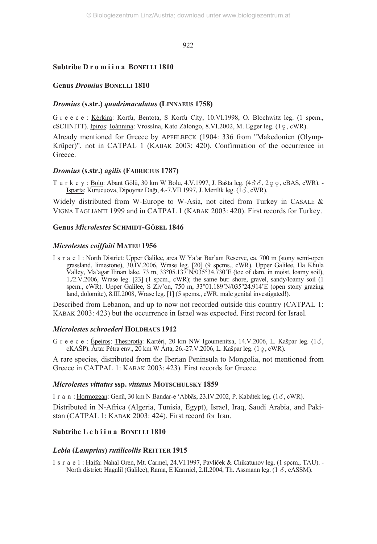## **Subtribe D r o m i i n a BONELLI 1810**

## **Genus** *Dromius* **BONELLI 1810**

## *Dromius* **(s.str.)** *quadrimaculatus* **(LINNAEUS 1758)**

G r e e c e : Kérkira: Korfu, Bentota, S Korfu City, 10.VI.1998, O. Blochwitz leg. (1 spcm., cSCHNITT). <u>Ipiros</u>: <u>Ioánnina</u>: Vrossína, Kato Zálongo, 8.VI.2002, M. Egger leg. (1♀, cWR).

Already mentioned for Greece by APFELBECK (1904: 336 from "Makedonien (Olymp-Krüper)", not in CATPAL 1 (KABAK 2003: 420). Confirmation of the occurrence in **Greece** 

## *Dromius* **(s.str.)** *agilis* **(FABRICIUS 1787)**

T u r k e y : <u>Bolu</u>: Abant Gölü, 30 km W Bolu, 4.V.1997, J. Bašta leg.  $(4\delta \delta, 2\varphi \varphi, \text{cBAS}, \text{cWR})$ . Isparta: Kurucuova, Dipoyraz Dağı, 4.-7.VII.1997, J. Mertlík leg. (18, cWR).

Widely distributed from W-Europe to W-Asia, not cited from Turkey in CASALE  $\&$ VIGNA TAGLIANTI 1999 and in CATPAL 1 (KABAK 2003: 420). First records for Turkey.

## **Genus** *Microlestes* **SCHMIDT-GÖBEL 1846**

## *Microlestes coiffaiti* **MATEU 1956**

I s r a e l : North District: Upper Galilee, area W Ya'ar Bar'am Reserve, ca. 700 m (stony semi-open grassland, limestone), 30.IV.2006, Wrase leg. [20] (9 spcms., cWR). Upper Galilee, Ha Khula Valley, Ma'agar Einan lake, 73 m, 33°05.137'N/035°34.730'E (toe of dam, in moist, loamy soil), 1./2.V.2006, Wrase leg. [23] (1 spcm., cWR); the same but: shore, gravel, sandy/loamy soil (1 spcm., cWR). Upper Galilee, S Ziv'on, 750 m, 33°01.189'N/035°24.914'E (open stony grazing land, dolomite), 8.III.2008, Wrase leg. [1] (5 spcms., cWR, male genital investigated!).

Described from Lebanon, and up to now not recorded outside this country (CATPAL 1: KABAK 2003: 423) but the occurrence in Israel was expected. First record for Israel.

## *Microlestes schroederi* **HOLDHAUS 1912**

G r e e c e : Épeiros: Thesprotía: Kartéri, 20 km NW Igoumenitsa, 14.V.2006, L. Kašpar leg. (1 $\delta$ , cKAŠP). <u>Árta</u>: Pétra env., 20 km W Árta, 26.-27.V.2006, L. Kašpar leg. (1 <sub>?</sub>, cWR).

A rare species, distributed from the Iberian Peninsula to Mongolia, not mentioned from Greece in CATPAL 1: KABAK 2003: 423). First records for Greece.

## *Microlestes vittatus* **ssp.** *vittatus* **MOTSCHULSKY 1859**

I r a n : Hormozgan: Genū, 30 km N Bandar-e 'Abbās, 23.IV.2002, P. Kabátek leg.  $(1\delta, \text{cWR})$ .

Distributed in N-Africa (Algeria, Tunisia, Egypt), Israel, Iraq, Saudi Arabia, and Pakistan (CATPAL 1: KABAK 2003: 424). First record for Iran.

## **Subtribe L e b i i n a BONELLI 1810**

## *Lebia* **(***Lamprias***)** *rutilicollis* **REITTER 1915**

I s r a e l : Haifa: Nahal Oren, Mt. Carmel, 24.VI.1997, Pavliček & Chikatunov leg. (1 spcm., TAU). - North district: Hagalil (Galilee), Rama, E Karmiel, 2.II.2004, Th. Assmann leg.  $(1 \delta, cASSM)$ .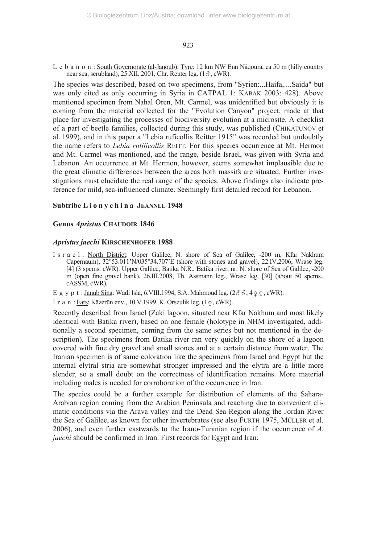L e b a n o n : South Governorate (al-Janoub): Tyre: 12 km NW Enn Nâqoura, ca 50 m (hilly country near sea, scrubland),  $25.XII. 2001$ , Chr. Reuter leg.  $(1\delta, \text{cWR})$ .

The species was described, based on two specimens, from "Syrien:...Haifa,....Saida" but was only cited as only occurring in Syria in CATPAL 1: KABAK 2003: 428). Above mentioned specimen from Nahal Oren, Mt. Carmel, was unidentified but obviously it is coming from the material collected for the "Evolution Canyon" project, made at that place for investigating the processes of biodiversity evolution at a microsite. A checklist of a part of beetle families, collected during this study, was published (CHIKATUNOV et al. 1999), and in this paper a "Lebia ruficollis Reitter 1915" was recorded but undoubtly the name refers to *Lebia rutilicollis* REITT. For this species occurrence at Mt. Hermon and Mt. Carmel was mentioned, and the range, beside Israel, was given with Syria and Lebanon. An occurrence at Mt. Hermon, however, seems somewhat implausible due to the great climatic differences between the areas both massifs are situated. Further investigations must elucidate the real range of the species. Above findings also indicate preference for mild, sea-influenced climate. Seemingly first detailed record for Lebanon.

## **Subtribe L i o n y c h i n a JEANNEL 1948**

#### **Genus** *Apristus* **CHAUDOIR 1846**

#### *Apristus jaechi* **KIRSCHENHOFER 1988**

I s r a e l : North District: Upper Galilee, N. shore of Sea of Galilee, -200 m, Kfar Nakhum Capernaum), 32°53.011'N/035°34.707'E (shore with stones and gravel), 22.IV.2006, Wrase leg. [4] (3 spcms. cWR). Upper Galilee, Batika N.R., Batika river, nr. N. shore of Sea of Galilee, -200 m (open fine gravel bank), 26.III.2008, Th. Assmann leg., Wrase leg. [30] (about 50 spcms., cASSM, cWR).

E g y p t : <u>Janub Sina</u>: Wadi Isla, 6.VIII.1994, S.A. Mahmoud leg.  $(2\delta\delta, 4\varphi\varphi, \text{cWR})$ .

I r a n : <u>Fars</u>: Kāzerūn env., 10.V.1999, K. Orszulik leg. (1 <sub>?</sub>, cWR).

Recently described from Israel (Zaki lagoon, situated near Kfar Nakhum and most likely identical with Batika river), based on one female (holotype in NHM investigated, additionally a second specimen, coming from the same series but not mentioned in the description). The specimens from Batika river ran very quickly on the shore of a lagoon covered with fine dry gravel and small stones and at a certain distance from water. The Iranian specimen is of same coloration like the specimens from Israel and Egypt but the internal elytral stria are somewhat stronger impressed and the elytra are a little more slender, so a small doubt on the correctness of identification remains. More material including males is needed for corroboration of the occurrence in Iran.

The species could be a further example for distribution of elements of the Sahara-Arabian region coming from the Arabian Peninsula and reaching due to convenient climatic conditions via the Arava valley and the Dead Sea Region along the Jordan River the Sea of Galilee, as known for other invertebrates (see also FURTH 1975, MÜLLER et al. 2006), and even further eastwards to the Irano-Turanian region if the occurrence of *A. jaechi* should be confirmed in Iran. First records for Egypt and Iran.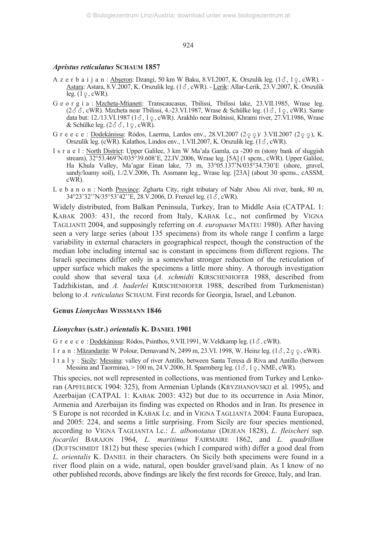## *Apristus reticulatus* **SCHAUM 1857**

- A z e r b a i j a n : Abseron: Dzangi, 50 km W Baku, 8.VI.2007, K. Orszulik leg.  $(1\delta, 1\delta, \epsilon)$ , cWR). Astara: Astara, 8.V.2007, K. Orszulik leg.  $(1\delta, \text{cWR})$ . - Lerik: Allar-Lerik, 23.V.2007, K. Orszulik leg.  $(1 \varphi, \text{cWR})$ .
- G e o r g i a : Mzcheta-Mtianeti: Transcaucasus, Tbilissi, Tbilissi lake, 23.VII.1985, Wrase leg.  $(2\delta\delta, \text{cWR})$ . Mzcheta near Tbilissi, 4.-23.VI.1987, Wrase & Schülke leg.  $(1\delta, 19, \text{cWR})$ . Same data but: 12./13.VI.1987 (13, 19, cWR). Arakhlo near Bolnissi, Khrami river, 27.VI.1986, Wrase & Schülke leg.  $(2\delta\delta, 1\epsilon, \text{cWR})$ .
- G r e e c e : <u>Dodekánissa</u>: Ródos, Laerma, Lardos env., 28.VI.2007 (2 o o )/ 3.VII.2007 (2 o o ), K. Orszulik leg. (cWR). Kalathos, Lindos env., 1.VII.2007, K. Orszulik leg.  $(1\delta, \text{cWR})$ .
- I s r a e l : North District: Upper Galilee, 3 km W Ma'ala Gamla, ca -200 m (stony bank of sluggish stream), 32°53.469'N/035°39.608'E, 22.IV.2006, Wrase leg. [5A] (1 spcm., cWR). Upper Galilee, Ha Khula Valley, Ma'agar Einan lake, 73 m, 33°05.137'N/035°34.730'E (shore, gravel, sandy/loamy soil), 1./2.V.2006, Th. Assmann leg., Wrase leg. [23A] (about 30 spcms., cASSM, cWR).
- L e b a n o n : North Province: Zgharta City, right tributary of Nahr Abou Ali river, bank, 80 m,  $34^{\circ}23'32''N/35^{\circ}53'42''E$ , 28. $\overline{V}$ .2006, D. Frenzel leg. (1 $\overline{\acute{S}}$ , cWR).

Widely distributed, from Balkan Peninsula, Turkey, Iran to Middle Asia (CATPAL 1: KABAK 2003: 431, the record from Italy, KABAK l.c., not confirmed by VIGNA TAGLIANTI 2004, and supposingly referring on *A. europaeus* MATEU 1980). After having seen a very large series (about 135 specimens) from its whole range I confirm a large variability in external characters in geographical respect, though the construction of the median lobe including internal sac is constant in specimens from different regions. The Israeli specimens differ only in a somewhat stronger reduction of the reticulation of upper surface which makes the specimens a little more shiny. A thorough investigation could show that several taxa (*A. schmidti* KIRSCHENHOFER 1988, described from Tadzhikistan, and *A. baderlei* KIRSCHENHOFER 1988, described from Turkmenistan) belong to *A. reticulatus* SCHAUM. First records for Georgia, Israel, and Lebanon.

## **Genus** *Lionychus* **WISSMANN 1846**

## *Lionychus* **(s.str.)** *orientalis* **K. DANIEL 1901**

G r e e c e : Dodekánissa: Ródos, Psinthos, 9.VII.1991, W.Veldkamp leg.  $(1\delta, \text{cWR})$ .

- I r a n : <u>Māzandarān</u>: W Polour, Demavand N, 2499 m, 23.VI. 1998, W. Heinz leg. (1*3* , 2<sub>9</sub> <sub>9</sub> , cWR).
- I t a l y : Sicily: Messina: valley of river Antillo, between Santa Teresa di Riva and Antillo (between Messina and Taormina),  $> 100$  m, 24.V.2006, H. Sparmberg leg. (1 $\delta$ , 1 $\varphi$ , NME, cWR).

This species, not well represented in collections, was mentioned from Turkey and Lenkoran (APFELBECK 1904: 325), from Armenian Uplands (KRYZHANOVSKIJ et al. 1995), and Azerbaijan (CATPAL 1: KABAK 2003: 432) but due to its occurrence in Asia Minor, Armenia and Azerbaijan its finding was expected on Rhodos and in Iran. Its presence in S Europe is not recorded in KABAK l.c. and in VIGNA TAGLIANTA 2004: Fauna Europaea, and 2005: 224, and seems a little surprising. From Sicily are four species mentioned, according to VIGNA TAGLIANTA l.c.: *L. albonotatus* (DEJEAN 1828), *L. fleischeri* ssp. *focarilei* BARAJON 1964, *L. maritimus* FAIRMAIRE 1862, and *L. quadrillum* (DUFTSCHMIDT 1812) but these species (which I compared with) differ a good deal from *L. orientalis* K. DANIEL in their characters. On Sicily both specimens were found in a river flood plain on a wide, natural, open boulder gravel/sand plain. As I know of no other published records, above findings are likely the first records for Greece, Italy, and Iran.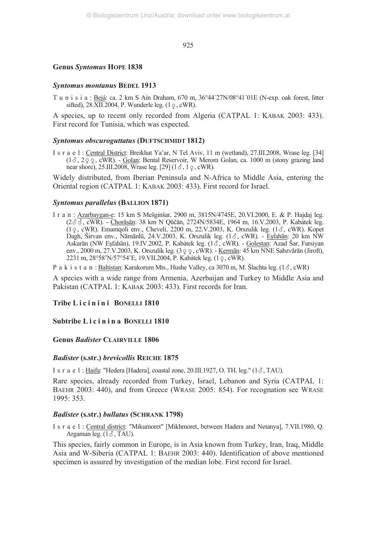#### **Genus** *Syntomus* **HOPE 1838**

#### *Syntomus montanus* **BEDEL 1913**

T u n i s i a : Bejá: ca. 2 km S Ain Draham, 670 m, 36°44´27N/08°41´01E (N-exp. oak forest, litter sifted),  $28.$ XII.2004, P. Wunderle leg.  $(1 \varphi, \text{cWR})$ .

A species, up to recent only recorded from Algeria (CATPAL 1: KABAK 2003: 433). First record for Tunisia, which was expected.

#### *Syntomus obscuroguttatus* **(DUFTSCHMIDT 1812)**

I s r a e l : Central District: Breikhat Ya'ar, N Tel Aviv, 11 m (wetland), 27.III.2008, Wrase leg. [34]  $(1\delta, 2\varphi, \text{cWR})$ . - Golan: Bental Reservoir, W Merom Golan, ca. 1000 m (stony grazing land near shore),  $25.III.2008$ , Wrase leg. [29]  $(1\delta, 1\epsilon, \text{cWR})$ .

Widely distributed, from Iberian Peninsula and N-Africa to Middle Asia, entering the Oriental region (CATPAL 1: KABAK 2003: 433). First record for Israel.

#### *Syntomus parallelus* **(BALLION 1871)**

I r a n : Azarbaygan-e: 15 km S Mešginšar, 2900 m, 3815N/4745E, 20.VI.2000, E. & P. Hajdaj leg. (2, cWR). - Chorāsān: 38 km N Qūčān, 2724N/5834E, 1964 m, 16.V.2003, P. Kabátek leg.  $(1 \circ$ , cWR). Emamqoli env., Cheveli, 2200 m, 22.V.2003, K. Orszulik leg.  $(1 \circ$ , cWR). Kopet Dagh, Širvan env., Nāmānlū, 24.V.2003, K. Orszulik leg. (13, cWR). - Esfahān: 20 km NW Askarān (NW Eşfahān), 19.IV.2002, P. Kabátek leg.  $(1\delta, \text{cWR})$ . - Golestan: Azad Šar, Farsiyan env., 2000 m, 27.V.2003, K. Orszulik leg. (3  $\varphi$  , cWR). - <u>Kermān</u>: 45 km NNE Sabzvārān (Jiroft), 2231 m, 28°58'N/57°54'E, 19.VII.2004, P. Kabátek leg. (1-, cWR).

P a k i s t a n : Baltistan: Karakorum Mts., Hushe Valley, ca 3070 m, M. Šlachta leg.  $(1\delta, \text{cWR})$ 

A species with a wide range from Armenia, Azerbaijan and Turkey to Middle Asia and Pakistan (CATPAL 1: KABAK 2003: 433). First records for Iran.

## **Tribe L i c i n i n i BONELLI 1810**

## **Subtribe L i c i n i n a BONELLI 1810**

## **Genus** *Badister* **CLAIRVILLE 1806**

#### *Badister* **(s.str.)** *brevicollis* **REICHE 1875**

I s r a e  $1$ : Haifa: "Hedera [Hadera], coastal zone, 20.III.1927, O. TH. leg." ( $1\delta$ , TAU).

Rare species, already recorded from Turkey, Israel, Lebanon and Syria (CATPAL 1: BAEHR 2003: 440), and from Greece (WRASE 2005: 854). For recognation see WRASE 1995: 353.

## *Badister* **(s.str.)** *bullatus* **(SCHRANK 1798)**

I s r a e l : Central district: "Mikumoret" [Mikhmoret, between Hadera and Netanya], 7.VII.1980, Q. Argaman leg.  $(1\delta, TAU)$ .

This species, fairly common in Europe, is in Asia known from Turkey, Iran, Iraq, Middle Asia and W-Siberia (CATPAL 1: BAEHR 2003: 440). Identification of above mentioned specimen is assured by investigation of the median lobe. First record for Israel.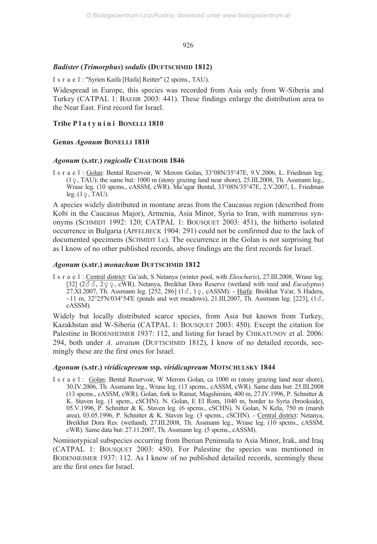## *Badister* **(***Trimorphus***)** *sodalis* **(DUFTSCHMID 1812)**

I s r a e l : "Syrien Kaifa [Haifa] Reitter" (2 spcms., TAU).

Widespread in Europe, this species was recorded from Asia only from W-Siberia and Turkey (CATPAL 1: BAEHR 2003: 441). These findings enlarge the distribution area to the Near East. First record for Israel.

## **Tribe P l a t y n i n i BONELLI 1810**

## **Genus** *Agonum* **BONELLI 1810**

## *Agonum* **(s.str.)** *rugicolle* **CHAUDOIR 1846**

I s r a e l : Golan: Bental Reservoir, W Merom Golan, 33°08N/35°47E, 9.V.2006, L. Friedman leg.  $(1 \circ, \text{TAU})$ ; the same but:  $1000 \text{ m}$  (stony grazing land near shore),  $25.1 \text{H}$ .  $2008$ , Th. Assmann leg., Wrase leg. (10 spcms., cASSM, cWR). Ma'agar Bental, 33°08N/35°47E, 2.V.2007, L. Friedman leg.  $(1 \varphi, \text{TAU})$ .

A species widely distributed in montane areas from the Caucasus region (described from Kobi in the Caucasus Major), Armenia, Asia Minor, Syria to Iran, with numerous synonyms (SCHMIDT 1992: 120; CATPAL 1: BOUSQUET 2003: 451), the hitherto isolated occurrence in Bulgaria (APFELBECK 1904: 291) could not be confirmed due to the lack of documented specimens (SCHMIDT l.c). The occurrence in the Golan is not surprising but as I know of no other published records, above findings are the first records for Israel.

## *Agonum* **(s.str.)** *monachum* **DUFTSCHMID 1812**

I s r a e l : Central district: Ga'ash, S Netanya (winter pool, with *Eleocharis*), 27.III.2008, Wrase leg.  $[32]$  ( $2\delta$ ,  $\delta$ ,  $2\varphi$ , cWR). Netanya, Breikhat Dora Reserve (wetland with reed and *Eucalyptus*)  $27.XI.2007$ , Th. Assmann leg.  $[252, 286]$   $(13, 19, \text{cASSM})$ . - Haifa: Breikhat Ya'ar, S Hadera,  $\sim$ 11 m, 32°25'N/034°54'E (ponds and wet meadows), 21.III.2007, Th. Assmann leg. [223], (1 $\sigma$ , cASSM).

Widely but locally distributed scarce species, from Asia but known from Turkey, Kazakhstan and W-Siberia (CATPAL 1: BOUSQUET 2003: 450). Except the citation for Palestine in BODENHEIMER 1937: 112, and listing for Israel by CHIKATUNOV et al. 2006: 294, both under *A. atratum* (DUFTSCHMID 1812), I know of no detailed records, seemingly these are the first ones for Israel.

## *Agonum* **(s.str.)** *viridicupreum* **ssp.** *viridicupreum* **MOTSCHULSKY 1844**

I s r a e l : Golan: Bental Reservoir, W Merom Golan, ca 1000 m (stony grazing land near shore), 30.IV.2006, Th. Assmann leg., Wrase leg. (13 spcms., cASSM, cWR). Same data but: 25.III.2008 (13 spcms., cASSM, cWR). Golan, fork to Ramat, Magshimim, 400 m, 27.IV.1996, P. Schnitter & K. Staven leg. (1 spcm., cSCHN). N. Golan, E El Rom, 1040 m, border to Syria (brookside), 05.V.1996, P. Schnitter & K. Staven leg. (6 spcms., cSCHN). N Golan, N Kela, 750 m (marsh area), 03.05.1996, P. Schnitter & K. Staven leg. (3 spcms., cSCHN). - Central district: Netanya, Breikhat Dora Res. (wetland), 27.III.2008, Th. Assmann leg., Wrase leg. (10 spcms., cASSM, cWR). Same data but: 27.11.2007, Th. Assmann leg. (5 spcms., cASSM).

Nominotypical subspecies occurring from Iberian Peninsula to Asia Minor, Irak, and Iraq (CATPAL 1: BOUSQUET 2003: 450). For Palestine the species was mentioned in BODENHEIMER 1937: 112. As I know of no published detailed records, seemingly these are the first ones for Israel.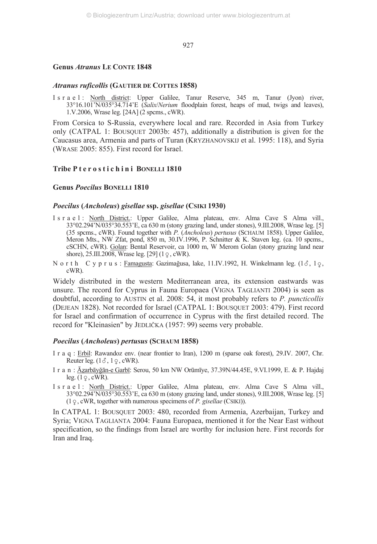## **Genus** *Atranus* **LE CONTE 1848**

#### *Atranus ruficollis* **(GAUTIER DE COTTES 1858)**

I s r a e l : North district: Upper Galilee, Tanur Reserve, 345 m, Tanur (Jyon) river, 33°16.101'N/035°34.714'E (*Salix*/*Nerium* floodplain forest, heaps of mud, twigs and leaves), 1.V.2006, Wrase leg. [24A] (2 spcms., cWR).

From Corsica to S-Russia, everywhere local and rare. Recorded in Asia from Turkey only (CATPAL 1: BOUSQUET 2003b: 457), additionally a distribution is given for the Caucasus area, Armenia and parts of Turan (KRYZHANOVSKIJ et al. 1995: 118), and Syria (WRASE 2005: 855). First record for Israel.

## **Tribe P t e r o s t i c h i n i BONELLI 1810**

## **Genus** *Poecilus* **BONELLI 1810**

#### *Poecilus* **(***Ancholeus***)** *gisellae* **ssp.** *gisellae* **(CSIKI 1930)**

- I s r a e l : North District.: Upper Galilee, Alma plateau, env. Alma Cave S Alma vill., 33°02.294'N/035°30.553'E, ca 630 m (stony grazing land, under stones), 9.III.2008, Wrase leg. [5] (35 spcms., cWR). Found together with *P.* (*Ancholeus*) *pertusus* (SCHAUM 1858). Upper Galilee, Meron Mts., NW Zfat, pond, 850 m, 30.IV.1996, P. Schnitter & K. Staven leg. (ca. 10 spcms., cSCHN, cWR). Golan: Bental Reservoir, ca 1000 m, W Merom Golan (stony grazing land near shore),  $25.III.2008$ , Wrase leg.  $[29] (1 \, \varphi, \text{cWR})$ .
- N o r t h C y p r u s : Famagusta: Gazimağusa, lake, 11.IV.1992, H. Winkelmann leg. (18, 19, cWR).

Widely distributed in the western Mediterranean area, its extension eastwards was unsure. The record for Cyprus in Fauna Europaea (VIGNA TAGLIANTI 2004) is seen as doubtful, according to AUSTIN et al. 2008: 54, it most probably refers to *P. puncticollis* (DEJEAN 1828). Not recorded for Israel (CATPAL 1: BOUSQUET 2003: 479). First record for Israel and confirmation of occurrence in Cyprus with the first detailed record. The record for "Kleinasien" by JEDLIČKA (1957: 99) seems very probable.

#### *Poecilus* **(***Ancholeus***)** *pertusus* **(SCHAUM 1858)**

- I r a q : Erbil: Rawandoz env. (near frontier to Iran), 1200 m (sparse oak forest), 29.IV. 2007, Chr. Reuter leg.  $(1\delta, 1\phi, \text{cWR})$ .
- I r a n : Āzarbāyğān-e Garbī: Serou, 50 km NW Orūmīye, 37.39N/44.45E, 9.VI.1999, E. & P. Hajdaj leg.  $(1 \varphi, \text{cWR})$ .
- I s r a e l : North District.: Upper Galilee, Alma plateau, env. Alma Cave S Alma vill., 33°02.294'N/035°30.553'E, ca 630 m (stony grazing land, under stones), 9.III.2008, Wrase leg. [5]  $(1 \varphi, \text{cWR}, \text{together with numerous specimens of } P. \text{ gisellae (CSIKI)}).$

In CATPAL 1: BOUSQUET 2003: 480, recorded from Armenia, Azerbaijan, Turkey and Syria; VIGNA TAGLIANTA 2004: Fauna Europaea, mentioned it for the Near East without specification, so the findings from Israel are worthy for inclusion here. First records for Iran and Iraq.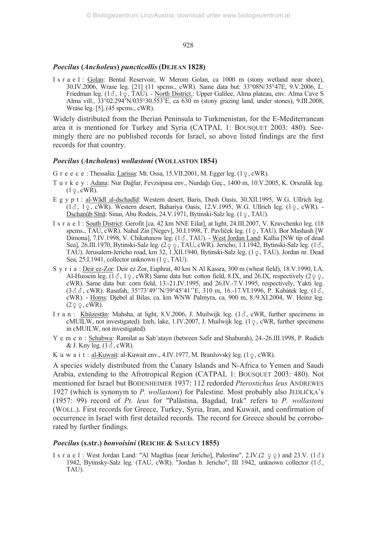#### *Poecilus* **(***Ancholeus***)** *puncticollis***(DEJEAN 1828)**

I s r a e l : Golan: Bental Reservoir, W Merom Golan, ca 1000 m (stony wetland near shore), 30.IV.2006, Wrase leg. [21] (11 spcms., cWR). Same data but: 33°08N/35°47E, 9.V.2006, L. Friedman leg. (13, 19, TAU). - <u>North District.</u>: Upper Galilee, Alma plateau, env. Alma Cave S Alma vill.,  $33^{\circ}02.294^{\circ}$ N/035°30.553'E, ca 630 m (stony grazing land, under stones), 9.III.2008, Wrase leg. [5], (45 spcms., cWR).

Widely distributed from the Iberian Peninsula to Turkmenistan, for the E-Mediterranean area it is mentioned for Turkey and Syria (CATPAL 1: BOUSQUET 2003: 480). Seemingly there are no published records for Israel, so above listed findings are the first records for that country.

## *Poecilus* **(***Ancholeus***)** *wollastoni* **(WOLLASTON 1854)**

G r e e c e : Thessalía: <u>Larissa</u>: Mt. Ossa, 15.VII.2001, M. Egger leg.  $(1 \circ, \text{cWR})$ .

- T u r k e y : Adana: Nur Dağlar, Fevzsipasa env., Nurdağı Geç., 1400 m, 10.V.2005, K. Orszulik leg.  $(1\varphi, \text{cWR})$ .
- E g y p t : al-Wādī al-dschadīd: Western desert, Baris, Dush Oasis, 30.XII.1995, W.G. Ullrich leg.  $(1\delta, 1\epsilon, \text{cWR})$ . Western desert, Bahariya Oasis, 12.V.1995, W.G. Ullrich leg.  $(1\epsilon, \text{cWR})$ . Dschanūb Sīnā: Sinai, Abu Rodeis, 24.V.1971, Bytinski-Salz leg. (1 <sub>?</sub>, TAU).
- I s r a e l : South District: Gerofit [ca. 42 km NNE Eilat], at light, 24.III.2007, V. Kravchenko leg. (18 spcms., TAU, cWR). Nahal Zin [Negev], 30.I.1998, T. Pavliček leg. (1-, TAU). Bor Mashash [W Dimona], 7.IV.1998, V. Chikatunow leg. (16, TAU). - West Jordan Land: Kallia [NW tip of dead Sea], 26.III.1970, Bytinski-Salz leg.  $(2 \circ \circ, \text{TAU}, \text{cWR})$ . Jericho, 1.I.1942, Bytinski-Salz leg. (18) TAU). Jerusalem-Jericho road, km 32, 1.XII.1940, Bytinski-Salz leg. (1-, TAU). Jordan nr. Dead Sea, 25.I.1941, collector unknown  $(1 \varphi, TAU)$ .
- S y r i a : Deir ez-Zor: Deir ez Zor, Euphrat, 40 km N Al Kassra, 300 m (wheat field), 18.V.1990, I.A. Al-Hussein leg.  $(1\delta, 1\delta, \text{cW})$  Same data but: cotton field, 8.IX, and 26.IX, respectively  $(2\delta, \delta, \text{cW})$ cWR). Same data but: corn field, 13.-21.IV.1995, and 26.IV.-7.V.1995, respectively, Yakti leg. (388, cWR). Rasafah, 35°73'49''N/39°45'41''E, 310 m, 16.-17.VI.1996, P. Kabátek leg. (18, cWR). - Homs: Djebel al Bilas, ca. km WNW Palmyra, ca. 900 m, 8./9.XI.2004, W. Heinz leg.  $(2 \varphi \varphi, \text{cWR}).$
- I r a n : Khūzestān: Mahsha, at light, 8.V.2006, J. Muilwijk leg. (18, cWR, further specimens in cMUILW, not investigated). Izeh, lake, 1.IV.2007, J. Muilwijk leg. (1  $\varphi$ , cWR, further specimens in cMUILW, not investigated).
- Y e m e n : Schabwa: Ramilat as Sab'atayn (between Safir and Shaburah), 24.-26.III.1998, P. Rudich & J. Kny leg.  $(1\delta, \text{cWR})$ .
- K u w a i t : <u>al-Kuwait</u>: al-Kuwait env., 4.IV.1977, M. Branžovský leg. (1 <sub>?</sub>, cWR).

A species widely distributed from the Canary Islands and N-Africa to Yemen and Saudi Arabia, extending to the Afrotropical Region (CATPAL 1: BOUSQUET 2003: 480). Not mentioned for Israel but BODENHEIMER 1937: 112 redorded *Pterostichus leus* ANDREWES 1927 (which is synonym to *P. wollastoni*) for Palestine. Most probably also JEDLIČKA's (1957: 99) record of *Pt. leus* for "Palästina, Bagdad, Irak" refers to *P. wollastoni* (WOLL.). First records for Greece, Turkey, Syria, Iran, and Kuwait, and confirmation of occurrence in Israel with first detailed records. The record for Greece should be corroborated by further findings.

#### *Poecilus* **(s.str.)** *bonvoisini* **(REICHE & SAULCY 1855)**

I s r a e l : West Jordan Land: "Al Magthas [near Jericho], Palestine",  $2$  IV ( $2 \varphi \varphi$ ) and  $23$  V. (1 $\delta$ ) 1942, Bytinsky-Salz leg. (TAU, cWR). "Jordan b. Jericho", III 1942, unknown collector  $(1\delta,$ TAU).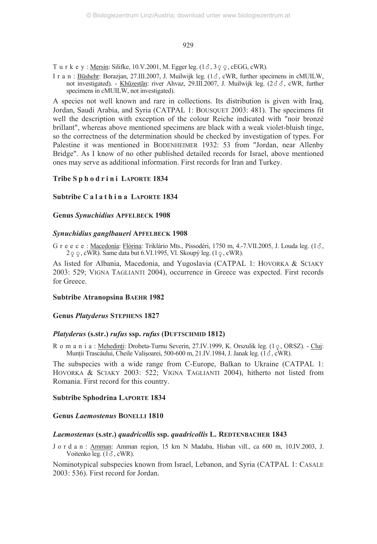T u r k e y : <u>Mersin</u>: Silifke, 10.V.2001, M. Egger leg.  $(1\delta, 3\varphi, \varphi, \text{cEGG}, \text{cWR})$ .

I r a n : Būshehr: Borazjan, 27.III.2007, J. Muilwijk leg. (13, cWR, further specimens in cMUILW, not investigated). - Khūzestān: river Ahvaz, 29.III.2007, J. Muilwijk leg.  $(2\delta \delta, \text{cWR}, \text{further})$ specimens in cMUILW, not investigated).

A species not well known and rare in collections. Its distribution is given with Iraq, Jordan, Saudi Arabia, and Syria (CATPAL 1: BOUSQUET 2003: 481). The specimens fit well the description with exception of the colour Reiche indicated with "noir bronzé brillant", whereas above mentioned specimens are black with a weak violet-bluish tinge, so the correctness of the determination should be checked by investigation of types. For Palestine it was mentioned in BODENHEIMER 1932: 53 from "Jordan, near Allenby Bridge". As I know of no other published detailed records for Israel, above mentioned ones may serve as additional information. First records for Iran and Turkey.

## Tribe S p h o d r i n i LAPORTE 1834

## **Subtribe C a l a t h i n a LAPORTE 1834**

## **Genus** *Synuchidius* **APFELBECK 1908**

## *Synuchidius ganglbaueri* **APFELBECK 1908**

G r e e c e : <u>Macedonía: Flórina</u>: Triklário Mts., Pissodéri, 1750 m, 4.-7.VII.2005, J. Louda leg. (1 $\delta$ ,  $2 \varphi \varphi$ , cWR). Same data but 6.VI.1995, Vl. Skoupý leg.  $(1 \varphi, \text{cWR})$ .

As listed for Albania, Macedonia, and Yugoslavia (CATPAL 1: HOVORKA & SCIAKY 2003: 529; VIGNA TAGLIANTI 2004), occurrence in Greece was expected. First records for Greece.

## **Subtribe Atranopsina BAEHR 1982**

## **Genus** *Platyderus* **STEPHENS 1827**

## *Platyderus* **(s.str.)** *rufus* **ssp.** *rufus* **(DUFTSCHMID 1812)**

R o m a n i a : <u>Mehedinti</u>: Drobeta-Turnu Severin, 27.IV.1999, K. Orszulik leg. (1  $\frac{Q}{Q}$ , ORSZ). - Cluj: Munții Trascáului, Cheile Valișoarei, 500-600 m, 21.IV.1984, J. Janak leg. (13, cWR).

The subspecies with a wide range from C-Europe, Balkan to Ukraine (CATPAL 1: HOVORKA & SCIAKY 2003: 522; VIGNA TAGLIANTI 2004), hitherto not listed from Romania. First record for this country.

## **Subtribe Sphodrina LAPORTE 1834**

## **Genus** *Laemostenus* **BONELLI 1810**

## *Laemostenus* **(s.str.)** *quadricollis* **ssp.** *quadricollis* **L. REDTENBACHER 1843**

J o r d a n : Amman: Amman region, 15 km N Madaba, Hisban vill., ca 600 m, 10.IV.2003, J. Voitenko leg.  $(1\delta, \text{cWR})$ .

Nominotypical subspecies known from Israel, Lebanon, and Syria (CATPAL 1: CASALE 2003: 536). First record for Jordan.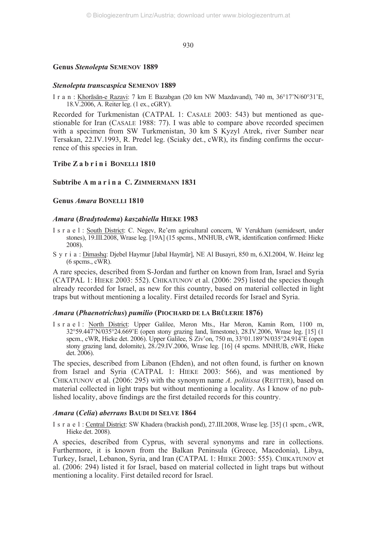## **Genus** *Stenolepta* **SEMENOV 1889**

#### *Stenolepta transcaspica* **SEMENOV 1889**

I r a n : Khorāsān-e Razavi: 7 km E Bazabgan (20 km NW Mazdavand), 740 m, 36°17'N/60°31'E, 18.V.2006, A. Reiter leg. (1 ex., cGRY).

Recorded for Turkmenistan (CATPAL 1: CASALE 2003: 543) but mentioned as questionable for Iran (CASALE 1988: 77). I was able to compare above recorded specimen with a specimen from SW Turkmenistan, 30 km S Kyzyl Atrek, river Sumber near Tersakan, 22.IV.1993, R. Predel leg. (Sciaky det., cWR), its finding confirms the occurrence of this species in Iran.

## Tribe Z a b r i n i BONELLI 1810

## **Subtribe A m a r i n a C. ZIMMERMANN 1831**

## **Genus** *Amara* **BONELLI 1810**

#### *Amara* **(***Bradytodema***)** *kaszabiella* **HIEKE 1983**

- I s r a e l : South District: C. Negev, Re'em agricultural concern, W Yerukham (semidesert, under stones), 19.III.2008, Wrase leg. [19A] (15 spcms., MNHUB, cWR, identification confirmed: Hieke 2008).
- S y r i a : Dimashq: Djebel Haymur [Jabal Haymūr], NE Al Busayri, 850 m, 6.XI.2004, W. Heinz leg (6 spcms., cWR).

A rare species, described from S-Jordan and further on known from Iran, Israel and Syria (CATPAL 1: HIEKE 2003: 552). CHIKATUNOV et al. (2006: 295) listed the species though already recorded for Israel, as new for this country, based on material collected in light traps but without mentioning a locality. First detailed records for Israel and Syria.

#### *Amara* **(***Phaenotrichus***)** *pumilio* **(PIOCHARD DE LA BRÛLERIE 1876)**

I s r a e l : North District: Upper Galilee, Meron Mts., Har Meron, Kamin Rom, 1100 m, 32°59.447'N/035°24.669'E (open stony grazing land, limestone), 28.IV.2006, Wrase leg. [15] (1 spcm., cWR, Hieke det. 2006). Upper Galilee, S Ziv'on, 750 m, 33°01.189'N/035°24.914'E (open stony grazing land, dolomite), 28./29.IV.2006, Wrase leg. [16] (4 spcms. MNHUB, cWR, Hieke det. 2006).

The species, described from Libanon (Ehden), and not often found, is further on known from Israel and Syria (CATPAL 1: HIEKE 2003: 566), and was mentioned by CHIKATUNOV et al. (2006: 295) with the synonym name *A. politissa* (REITTER), based on material collected in light traps but without mentioning a locality. As I know of no published locality, above findings are the first detailed records for this country.

#### *Amara* **(***Celia***)** *aberrans* **BAUDI DI SELVE 1864**

I s r a e l : Central District: SW Khadera (brackish pond), 27.III.2008, Wrase leg. [35] (1 spcm., cWR, Hieke det. 2008).

A species, described from Cyprus, with several synonyms and rare in collections. Furthermore, it is known from the Balkan Peninsula (Greece, Macedonia), Libya, Turkey, Israel, Lebanon, Syria, and Iran (CATPAL 1: HIEKE 2003: 555). CHIKATUNOV et al. (2006: 294) listed it for Israel, based on material collected in light traps but without mentioning a locality. First detailed record for Israel.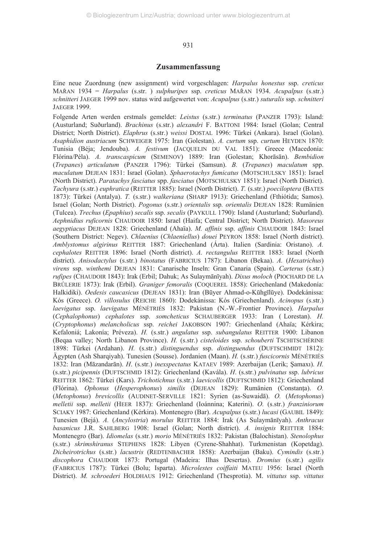#### **Zusammenfassung**

Eine neue Zuordnung (new assignment) wird vorgeschlagen: *Harpalus honestus* ssp. *creticus* MAŘAN 1934 = *Harpalus* (s.str. ) *sulphuripes* ssp. *creticus* MAŘAN 1934. *Acupalpus* (s.str.) *schnitteri* JAEGER 1999 nov. status wird aufgewertet von: *Acupalpus* (s.str.) *suturalis* ssp. *schnitteri* JAEGER 1999.

Folgende Arten werden erstmals gemeldet: *Leistus* (s.str.) *terminatus* (PANZER 1793): Island: (Austurland; Suðurland). *Brachinus* (s.str.) *alexandri* F. BATTONI 1984: Israel (Golan; Central District; North District). *Elaphrus* (s.str.) *weissi* DOSTAL 1996: Türkei (Ankara). Israel (Golan). *Asaphidion austriacum* SCHWEIGER 1975: Iran (Golestan). *A. curtum* ssp. *curtum* HEYDEN 1870: Tunisia (Béja; Jendouba). *A. festivum* (JACQUELIN DU VAL 1851): Greece (Macedonía: Flórina/Péla). *A. transcaspicum* (SEMENOV) 1889: Iran (Golestan; Khorāsān). *Bembidion* (*Trepanes*) *articulatum* (PANZER 1796): Türkei (Samsun). *B.* (*Trepanes*) *maculatum* spp. *maculatum* DEJEAN 1831: Israel (Golan). *Sphaerotachys fumicatus* (MOTSCHULSKY 1851): Israel (North District). *Paratachys fasciatus* spp. *fasciatus* (MOTSCHULSKY 1851): Israel (North District). *Tachyura* (s.str.) *euphratica* (REITTER 1885): Israel (North District). *T.* (s.str.) *poeciloptera* (BATES 1873): Türkei (Antalya). *T.* (s.str.) *walkeriana* (SHARP 1913): Griechenland (Fthiótida; Samos). Israel (Golan; North District). *Pogonus* (s.str.) *orientalis* ssp*. orientalis* DEJEAN 1828: Rumänien (Tulcea). *Trechus* (*Epaphius*) *secalis* ssp. *secalis* (PAYKULL 1790): Island (Austurland; Suðurland). *Aephnidius ruficornis* CHAUDOIR 1850: Israel (Haifa; Central District; North District). *Masoreus aegyptiacus* DEJEAN 1828: Griechenland (Ahaïa). *M. affinis* ssp. *affinis* CHAUDOIR 1843: Israel (Southern District: Negev). *Chlaenius* (*Chlaeniellus*) *douei* PEYRON 1858: Israel (North district). *Amblystomus algirinus* REITTER 1887: Griechenland (Árta). Italien (Sardinia: Oristano). *A. cephalotes* REITTER 1896: Israel (North district). *A. rectangulus* REITTER 1883: Israel (North district). *Anisodactylus* (s.str.) *binotatus* (FABRICIUS 1787): Libanon (Bekaa). *A.* (*Hexatrichus*) *virens* ssp. *winthemi* DEJEAN 1831: Canarische Inseln: Gran Canaria (Spain). *Carterus* (s.str.) *rufipes* (CHAUDOIR 1843): Irak (Erbil; Dahuk; As Sulaymānīyah). *Dixus moloch* (PIOCHARD DE LA BRÛLERIE 1873): Irak (Erbil). *Graniger femoralis* (COQUEREL 1858): Griechenland (Makedonía: Halkidiki). *Oedesis caucasicus* (DEJEAN 1831): Iran (Būyer Ahmad-o-Kūhgīlūye). Dodekánissa: Kós (Greece). *O. villosulus* (REICHE 1860): Dodekánissa: Kós (Griechenland). *Acinopus* (s.str.) *laevigatus* ssp. *laevigatus* MÉNÉTRIÉS 1832: Pakistan (N.-W.-Frontier Province). *Harpalus* (*Cephalophonus*) *cephalotes* ssp. *somcheticus* SCHAUBERGER 1933: Iran ( Lorestan). *H.* (*Cryptophonus*) *melancholicus* ssp. *reichei* JAKOBSON 1907: Griechenland (Ahaïa; Kérkira; Kefaloniá; Lakonía; Préveza). *H.* (s.str.) *angulatus* ssp. *subangulatus* REITTER 1900: Libanon (Beqaa valley; North Libanon Province). *H.* (s.str.) *cisteloides* ssp. *schouberti* TSCHITSCHÉRINE 1898: Türkei (Ardahan). *H.* (s.str.) *distinguendus* ssp. *distinguendus* (DUFTSCHMIDT 1812): Ägypten (Ash Sharqiyah). Tunesien (Sousse). Jordanien (Maan). *H.* (s.str.) *fuscicornis* MÉNÉTRIÉS 1832: Iran (Māzandarān). *H*. (s.str.) *inexspectatus* KATAEV 1989: Azerbaijan (Lerik; Şamaxı). *H.* (s.str.) *picipennis* (DUFTSCHMID 1812): Griechenland (Kavála). *H*. (s.str.) *pulvinatus* ssp. *lubricus* REITTER 1862: Türkei (Kars). *Trichotichnus* (s.str.) *laevicollis* (DUFTSCHMID 1812): Griechenland (Flórina). *Ophonus* (*Hesperophonus*) *similis* (DEJEAN 1829): Rumänien (Constanţa). *O.* (*Metophonus*) *brevicollis* (AUDINET-SERVILLE 1821: Syrien (as-Suwaidā). *O.* (*Metophonus*) *melletii* ssp. *melletii* (HEER 1837): Griechenland (Ioánnina; Katerini). *O.* (s.str.) *franziniorum* SCIAKY 1987: Griechenland (Kérkira). Montenegro (Bar). *Acupalpus* (s.str.) *lucasi* (GAUBIL 1849): Tunesien (Bejá). *A.* (*Ancylostria*) *morulus* REITTER 1884: Irak (As Sulaymānīyah). *Anthracus basanicus* J.R. SAHLBERG 1908: Israel (Golan; North district). *A. insignis* REITTER 1884: Montenegro (Bar). *Idiomelas* (s.str*.*) *morio* MÉNÉTRIÉS 1832: Pakistan (Balochistan). *Stenolophus* (s.str.) *skrimshiranus* STEPHENS 1828: Libyen (Cyrene-Shahhat). Turkmenistan (Kopetdag). *Dicheirotrichus* (s.str*.*) *lacustris* (REDTENBACHER 1858): Azerbaijan (Baku). *Cymindis* (s.str.) *discophora* CHAUDOIR 1873: Portugal (Madeira: Ilhas Desertas). *Dromius* (s.str.) *agilis* (FABRICIUS 1787): Türkei (Bolu; Isparta). *Microlestes coiffaiti* MATEU 1956: Israel (North District). *M. schroederi* HOLDHAUS 1912: Griechenland (Thesprotía). M. *vittatus* ssp. *vittatus*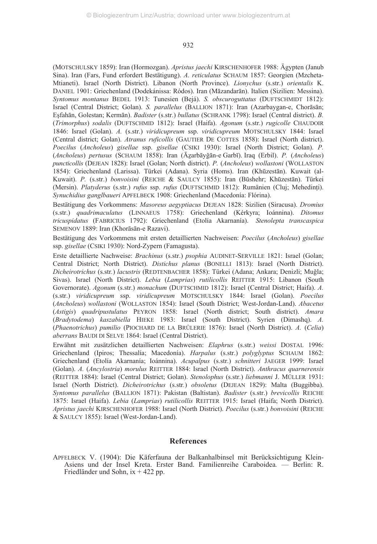(MOTSCHULSKY 1859): Iran (Hormozgan). *Apristus jaechi* KIRSCHENHOFER 1988: Ägypten (Janub Sina). Iran (Fars, Fund erfordert Bestätigung). *A. reticulatus* SCHAUM 1857: Georgien (Mzcheta-Mtianeti). Israel (North District). Libanon (North Province). *Lionychus* (s.str.) *orientalis* K. DANIEL 1901: Griechenland (Dodekánissa: Ródos). Iran (Māzandarān). Italien (Sizilien: Messina). *Syntomus montanus* BEDEL 1913: Tunesien (Bejá). *S. obscuroguttatus* (DUFTSCHMIDT 1812): Israel (Central District; Golan). *S. parallelus* (BALLION 1871): Iran (Azarbaygan-e, Chorāsān; Eşfahān, Golestan; Kermān). *Badister* (s.str.) *bullatus* (SCHRANK 1798): Israel (Central district). *B.* (*Trimorphus*) *sodalis* (DUFTSCHMID 1812): Israel (Haifa). *Agonum* (s.str.) *rugicolle* CHAUDOIR 1846: Israel (Golan). *A.* (s.str.) *viridicupreum* ssp. *viridicupreum* MOTSCHULSKY 1844: Israel (Central district; Golan). *Atranus ruficollis* (GAUTIER DE COTTES 1858): Israel (North district). *Poecilus* (*Ancholeus*) *gisellae* ssp. *gisellae* (CSIKI 1930): Israel (North District; Golan). *P.* (*Ancholeus*) *pertusus* (SCHAUM 1858): Iran (Āáarbāyğān-e Garbī). Iraq (Erbil). *P.* (*Ancholeus*) *puncticollis* (DEJEAN 1828): Israel (Golan; North district). *P.* (*Ancholeus*) *wollastoni* (WOLLASTON 1854): Griechenland (Larissa). Türkei (Adana). Syria (Homs). Iran (Khūzestān). Kuwait (al-Kuwait). *P.* (s.str.) *bonvoisini* (REICHE & SAULCY 1855): Iran (Būshehr; Khūzestān). Türkei (Mersin). *Platyderus* (s.str.) *rufus* ssp. *rufus* (DUFTSCHMID 1812): Rumänien (Cluj; Mehedinţi). *Synuchidius ganglbaueri* APFELBECK 1908: Griechenland (Macedonía: Flórina).

Bestätigung des Vorkommens: *Masoreus aegyptiacus* DEJEAN 1828: Sizilien (Siracusa). *Dromius* (s.str.) *quadrimaculatus* (LINNAEUS 1758): Griechenland (Kérkyra; Ioánnina). *Ditomus tricuspidatus* (FABRICIUS 1792): Griechenland (Etolía Akarnanía). *Stenolepta transcaspica* SEMENOV 1889: Iran (Khorāsān-e Razavi).

Bestätigung des Vorkommens mit ersten detaillierten Nachweisen: *Poecilus* (*Ancholeus*) *gisellae* ssp. *gisellae* (CSIKI 1930): Nord-Zypern (Famagusta).

Erste detaillierte Nachweise: *Brachinus* (s.str.) *psophia* AUDINET-SERVILLE 1821: Israel (Golan; Central District; North District). *Distichus planus* (BONELLI 1813): Israel (North District). *Dicheirotrichus* (s.str*.*) *lacustris* (REDTENBACHER 1858): Türkei (Adana; Ankara; Denizli; Muğla; Sivas). Israel (North District). *Lebia* (*Lamprias*) *rutilicollis* REITTER 1915: Libanon (South Governorate). *Agonum* (s.str.) *monachum* (DUFTSCHMID 1812): Israel (Central District; Haifa). *A.* (s.str.) *viridicupreum* ssp. *viridicupreum* MOTSCHULSKY 1844: Israel (Golan). *Poecilus* (*Ancholeus*) *wollastoni* (WOLLASTON 1854): Israel (South District; West-Jordan-Land). *Abacetus* (*Astigis*) *quadripustulatus* PEYRON 1858: Israel (North district; South district). *Amara* (*Bradytodema*) *kaszabiella* HIEKE 1983: Israel (South District). Syrien (Dimashq). *A.* (*Phaenotrichus*) *pumilio* (PIOCHARD DE LA BRÛLERIE 1876): Israel (North District). *A.* (*Celia*) *aberrans* BAUDI DI SELVE 1864: Israel (Central District).

Erwähnt mit zusätzlichen detaillierten Nachweisen: *Elaphrus* (s.str.) *weissi* DOSTAL 1996: Griechenland (Ipiros; Thessalía; Macedonía). *Harpalus* (s.str.) *polyglyptus* SCHAUM 1862: Griechenland (Etolía Akarnanía; Ioánnina). *Acupalpus* (s.str.) *schnitteri* JAEGER 1999: Israel (Golan). *A.* (*Ancylostria*) *morulus* REITTER 1884: Israel (North District). *Anthracus quarnerensis* (REITTER 1884): Israel (Central District; Golan). *Stenolophus* (s.str.) *liebmanni* J. MÜLLER 1931: Israel (North District). *Dicheirotrichus* (s.str*.*) *obsoletus* (DEJEAN 1829): Malta (Buggibba). *Syntomus parallelus* (BALLION 1871): Pakistan (Baltistan). *Badister* (s.str.) *brevicollis* REICHE 1875: Israel (Haifa). *Lebia* (*Lamprias*) *rutilicollis* REITTER 1915: Israel (Haifa; North District). *Apristus jaechi* KIRSCHENHOFER 1988: Israel (North District). *Poecilus* (s.str.) *bonvoisini* (REICHE & SAULCY 1855): Israel (West-Jordan-Land).

## **References**

APFELBECK V. (1904): Die Käferfauna der Balkanhalbinsel mit Berücksichtigung Klein-Asiens und der Insel Kreta. Erster Band. Familienreihe Caraboidea*.* — Berlin: R. Friedländer und Sohn, ix + 422 pp.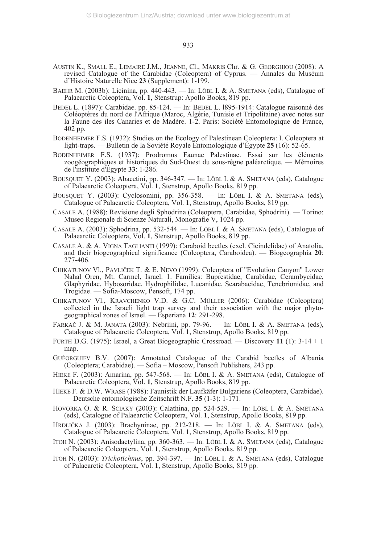- AUSTIN K., SMALL E., LEMAIRE J.M., JEANNE, Cl., MAKRIS Chr. & G. GEORGHIOU (2008): A revised Catalogue of the Carabidae (Coleoptera) of Cyprus. — Annales du Muséum d'Histoire Naturelle Nice **23** (Supplement): 1-199.
- BAEHR M. (2003b): Licinina, pp. 440-443. In: LÖBL I. & A. SMETANA (eds), Catalogue of Palaearctic Coleoptera, Vol. **1**, Stenstrup: Apollo Books, 819 pp.
- BEDEL L. (1897): Carabidae. pp. 85-124. In: BEDEL L. l895-1914: Catalogue raisonné des Coléoptères du nord de l'Afrique (Maroc, Algérie, Tunisie et Tripolitaine) avec notes sur la Faune des îles Canaries et de Madère. 1-2. Paris: Société Entomologique de France, 402 pp.
- BODENHEIMER F.S. (1932): Studies on the Ecology of Palestinean Coleoptera: I. Coleoptera at light-traps. — Bulletin de la Soviété Royale Entomologique d'Égypte **25** (16): 52-65.
- BODENHEIMER F.S. (1937): Prodromus Faunae Palestinae. Essai sur les éléments zoogéographiques et historiques du Sud-Ouest du sous-règne paléarctique. — Mémoires de l'institute d'Égypte **33**: 1-286.
- BOUSQUET Y. (2003): Abacetini, pp. 346-347. In: LÖBL I. & A. SMETANA (eds), Catalogue of Palaearctic Coleoptera, Vol. **1**, Stenstrup, Apollo Books, 819 pp.
- BOUSQUET Y. (2003): Cyclosomini, pp. 356-358. In: LÖBL I. & A. SMETANA (eds), Catalogue of Palaearctic Coleoptera, Vol. **1**, Stenstrup, Apollo Books, 819 pp.
- CASALE A. (1988): Revisione degli Sphodrina (Coleoptera, Carabidae, Sphodrini). Torino: Museo Regionale di Scienze Naturali, Monografie V, 1024 pp.
- CASALE A. (2003): Sphodrina, pp. 532-544. In: LÖBL I. & A. SMETANA (eds), Catalogue of Palaearctic Coleoptera, Vol. **1**, Stenstrup, Apollo Books, 819 pp.
- CASALE A. & A. VIGNA TAGLIANTI (1999): Caraboid beetles (excl. Cicindelidae) of Anatolia, and their biogeographical significance (Coleoptera, Caraboidea). — Biogeographia **20**: 277-406.
- CHIKATUNOV Vl., PAVLIČEK T. & E. NEVO (1999): Coleoptera of "Evolution Canyon" Lower Nahal Oren, Mt. Carmel, Israel. 1. Families: Buprestidae, Carabidae, Cerambycidae, Glaphyridae, Hybosoridae, Hydrophilidae, Lucanidae, Scarabaeidae, Tenebrionidae, and Trogidae. — Sofia-Moscow, Pensoft, 174 pp.
- CHIKATUNOV Vl., KRAVCHENKO V.D. & G.C. MÜLLER (2006): Carabidae (Coleoptera) collected in the Israeli light trap survey and their association with the major phytogeographical zones of Israel. — Esperiana **12**: 291-298.
- FARKAČ J. & M. JANATA (2003): Nebriini, pp. 79-96. In: LÖBL I. & A. SMETANA (eds), Catalogue of Palaearctic Coleoptera, Vol. **1**, Stenstrup, Apollo Books, 819 pp.
- FURTH D.G. (1975): Israel, a Great Biogeographic Crossroad. Discovery **11** (1): 3-14 + 1 map.
- GUÉORGUIEV B.V. (2007): Annotated Catalogue of the Carabid beetles of Albania (Coleoptera; Carabidae). — Sofia – Moscow, Pensoft Publishers, 243 pp.
- HIEKE F. (2003): Amarina, pp. 547-568. In: LÖBL I. & A. SMETANA (eds), Catalogue of Palaearctic Coleoptera, Vol. **1**, Stenstrup, Apollo Books, 819 pp.
- HIEKE F. & D.W. WRASE (1988): Faunistik der Laufkäfer Bulgariens (Coleoptera, Carabidae). — Deutsche entomologische Zeitschrift N.F. **35** (1-3): 1-171.
- HOVORKA O. & R. SCIAKY (2003): Calathina, pp. 524-529. In: LÖBL I. & A. SMETANA (eds), Catalogue of Palaearctic Coleoptera, Vol. **1**, Stenstrup, Apollo Books, 819 pp.
- HRDLIČKA J. (2003): Brachyninae, pp. 212-218. In: LÖBL I. & A. SMETANA (eds), Catalogue of Palaearctic Coleoptera, Vol. **1**, Stenstrup, Apollo Books, 819 pp.
- ITOH N. (2003): Anisodactylina, pp. 360-363. In: LÖBL I. & A. SMETANA (eds), Catalogue of Palaearctic Coleoptera, Vol. **1**, Stenstrup, Apollo Books, 819 pp.
- ITOH N. (2003): *Trichotichnus*, pp. 394-397. In: LÖBL I. & A. SMETANA (eds), Catalogue of Palaearctic Coleoptera, Vol. **1**, Stenstrup, Apollo Books, 819 pp.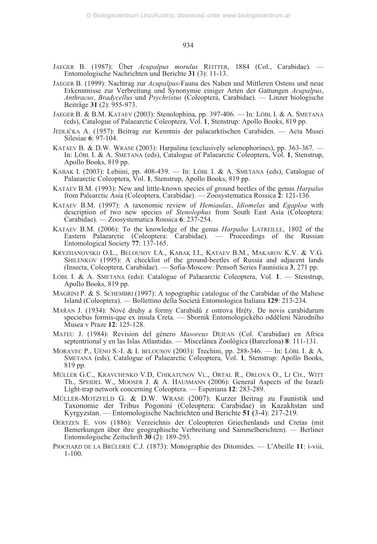- JAEGER B. (1987): Über *Acupalpus morulus* REITTER, 1884 (Col., Carabidae). Entomologische Nachrichten und Berichte **31** (3): 11-13.
- JAEGER B. (1999): Nachtrag zur *Acupalpus*-Fauna des Nahen und Mittleren Ostens und neue Erkenntnisse zur Verbreitung und Synonymie einiger Arten der Gattungen *Acupalpus*, *Anthracus*, *Bradycellus* und *Psychristus* (Coleoptera, Carabidae). — Linzer biologische Beiträge **31** (2): 955-973.
- JAEGER B. & B.M. KATAEV (2003): Stenolophina, pp. 397-406. In: LÖBL I. & A. SMETANA (eds), Catalogue of Palaearctic Coleoptera, Vol. **1**, Stenstrup: Apollo Books, 819 pp.
- JEDLIČKA A. (1957): Beitrag zur Kenntnis der palaearktischen Carabiden. Acta Musei Silesiae **6**: 97-104.
- KATAEV B. & D.W. WRASE (2003): Harpalina (exclusively selenophorines), pp. 363-367. In: LÖBL I. & A. SMETANA (eds), Catalogue of Palaearctic Coleoptera, Vol. **1**, Stenstrup, Apollo Books, 819 pp.
- KABAK I. (2003): Lebiini, pp. 408-439. In: LÖBL I. & A. SMETANA (eds), Catalogue of Palaearctic Coleoptera, Vol. **1**, Stenstrup, Apollo Books, 819 pp.
- KATAEV B.M. (1993): New and little-known species of ground beetles of the genus *Harpalus* from Palearctic Asia (Coleoptera, Carabidae). — Zoosystematica Rossica **2**: 121-136.
- KATAEV B.M. (1997): A taxonomic review of *Hemiaulax*, *Idiomelas* and *Egaploa* with description of two new species of *Stenolophus* from South East Asia (Coleoptera: Carabidae). — Zoosystematica Rossica **6**: 237-254.
- KATAEV B.M. (2006): To the knowledge of the genus *Harpalus* LATREILLE, 1802 of the Eastern Palaearctic (Coleoptera: Carabidae). — Proceedings of the Russian Entomological Society **77**: 137-165.
- KRYZHANOVSKIJ O.L., BELOUSOV I.A., KABAK I.I., KATAEV B.M., MAKAROV K.V. & V.G. SHILENKOV (1995): A checklist of the ground-beetles of Russia and adjacent lands (Insecta, Coleoptera, Carabidae). — Sofia-Moscow: Pensoft Series Faunistica **3**, 271 pp.
- LÖBL I. & A. SMETANA (eds): Catalogue of Palaearctic Coleoptera, Vol. **1**. Stenstrup, Apollo Books, 819 pp.
- MAGRINI P. & S. SCHEMBRI (1997): A topographic catalogue of the Carabidae of the Maltese Island (Coleoptera). — Bollettino della Società Entomologica Italiana **129**: 213-234.
- MAŘAN J. (1934): Nové druhy a formy Carabidů z ostrova Hréty. De novis carabidarum speciebus formis-que ex insula Creta. — Sbornik Entomologického odděleni Národního Musea v Praze **12**: 125-128.
- MATEU J. (1984): Revision del género *Masoreus* DEJEAN (Col. Carabidae) en Africa septentrional y en las Islas Atlantidas. — Miscelánea Zoológica (Barcelona) **8**: 111-131.
- MORAVEC P., UÉNO S.-I. & I. BELOUSOV (2003): Trechini, pp. 288-346. In: LÖBL I. & A. SMETANA (eds), Catalogue of Palaearctic Coleoptera, Vol. **1**, Stenstrup: Apollo Books, 819 pp.
- MÜLLER G.C., KRAVCHENKO V.D, CHIKATUNOV VL., ORTAL R., ORLOVA O., LI CH., WITT Th., SPEIDEL W., MOOSER J. & A. HAUSMANN (2006): General Aspects of the Israeli Light-trap network concerning Coleoptera. — Esperiana **12**: 283-289.
- MÜLLER-MOTZFELD G. & D.W. WRASE (2007): Kurzer Beitrag zu Faunistik und Taxonomie der Tribus Pogonini (Coleoptera: Carabidae) in Kazakhstan und Kyrgyzstan. — Entomologische Nachrichten und Berichte **51 (**3-4): 217-219.
- OERTZEN E. VON (1886): Verzeichnis der Coleopteren Griechenlands und Cretas (mit Bemerkungen über ihre geographische Verbreitung und Sammelberichten). — Berliner Entomologische Zeitschrift **30** (2): 189-293.
- PIOCHARD DE LA BRÛLERIE C.J. (1873): Monographie des Ditomides. L'Abeille **11**: i-viii, 1-100.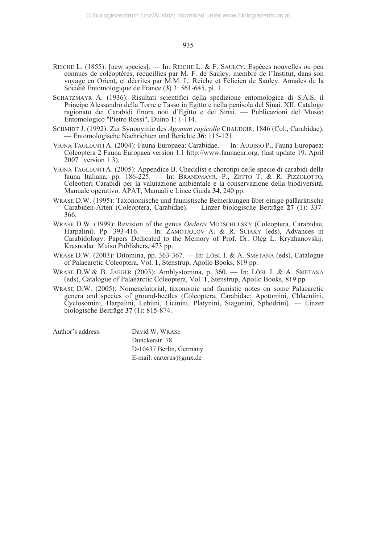- REICHE L. (1855): [new species]. In: REICHE L. & F. SAULCY, Espèces nouvelles ou peu connues de coléoptères, recueillies par M. F. de Saulcy, membre de l'Institut, dans son voyage en Orient, et décrites par M.M. L. Reiche et Félicien de Saulcy. Annales de la Société Entomologique de France (**3**) 3: 561-645, pl. 1.
- SCHATZMAYR A. (1936): Risultati scientifici della spedizione entomologica di S.A.S. il Principe Alessandro della Torre e Tasso in Egitto e nella penisola del Sinai. XII. Catalogo ragionato dei Carabidi finora noti d'Egitto e del Sinai. — Publicazioni del Museo Entomologico "Pietro Rossi", Duino **1**: 1-114.
- SCHMIDT J. (1992): Zur Synonymie des *Agonum rugicolle* CHAUDOIR, 1846 (Col., Carabidae). — Entomologische Nachrichten und Berichte **36**: 115-121.
- VIGNA TAGLIANTI A. (2004): Fauna Europaea: Carabidae. In: AUDISIO P., Fauna Europaea: Coleoptera 2 Fauna Europaea version 1.1 http://www.faunaeur.org. (last update 19. April  $2007$  [ version 1.3).
- VIGNA TAGLIANTI A. (2005): Appendice B. Checklist e chorotipi delle specie di carabidi della fauna Italiana, pp. 186-225. - In: BRANDMAYR, P., ZETTO T. & R. PIZZOLOTTO, Coleotteri Carabidi per la valutazione ambientale e la conservazione della biodiversità. Manuale operativo. APAT, Manuali e Linee Guida **34**, 240 pp.
- WRASE D.W. (1995): Taxonomische und faunistische Bemerkungen über einige paläarktische Carabiden-Arten (Coleoptera, Carabidae). — Linzer biologische Beiträge **27** (1): 337- 366.
- WRASE D.W. (1999): Revision of the genus *Oedesis* MOTSCHULSKY (Coleoptera, Carabidae, Harpalini). Pp. 393-416. — In: ZAMOTAJLOV A. & R. SCIAKY (eds), Advances in Carabidology. Papers Dedicated to the Memory of Prof. Dr. Oleg L. Kryzhanovskij. Krasnodar: Muiso Publishers, 473 pp.
- WRASE D.W. (2003): Ditomina, pp. 363-367. In: LÖBL I. & A. SMETANA (eds), Catalogue of Palaearctic Coleoptera, Vol. **1**, Stenstrup, Apollo Books, 819 pp.
- WRASE D.W.& B. JAEGER (2003): Amblystomina, p. 360. In: LÖBL I. & A. SMETANA (eds), Catalogue of Palaearctic Coleoptera, Vol. **1**, Stenstrup, Apollo Books, 819 pp.
- WRASE D.W. (2005): Nomenclatorial, taxonomic and faunistic notes on some Palaearctic genera and species of ground-beetles (Coleoptera, Carabidae: Apotomini, Chlaeniini, Cyclosomini, Harpalini, Lebiini, Licinini, Platynini, Siagonini, Sphodrini). — Linzer biologische Beiträge **37** (1): 815-874.

Author's address: David W. WRASE Dunckerstr. 78 D-10437 Berlin, Germany E-mail: carterus@gmx.de